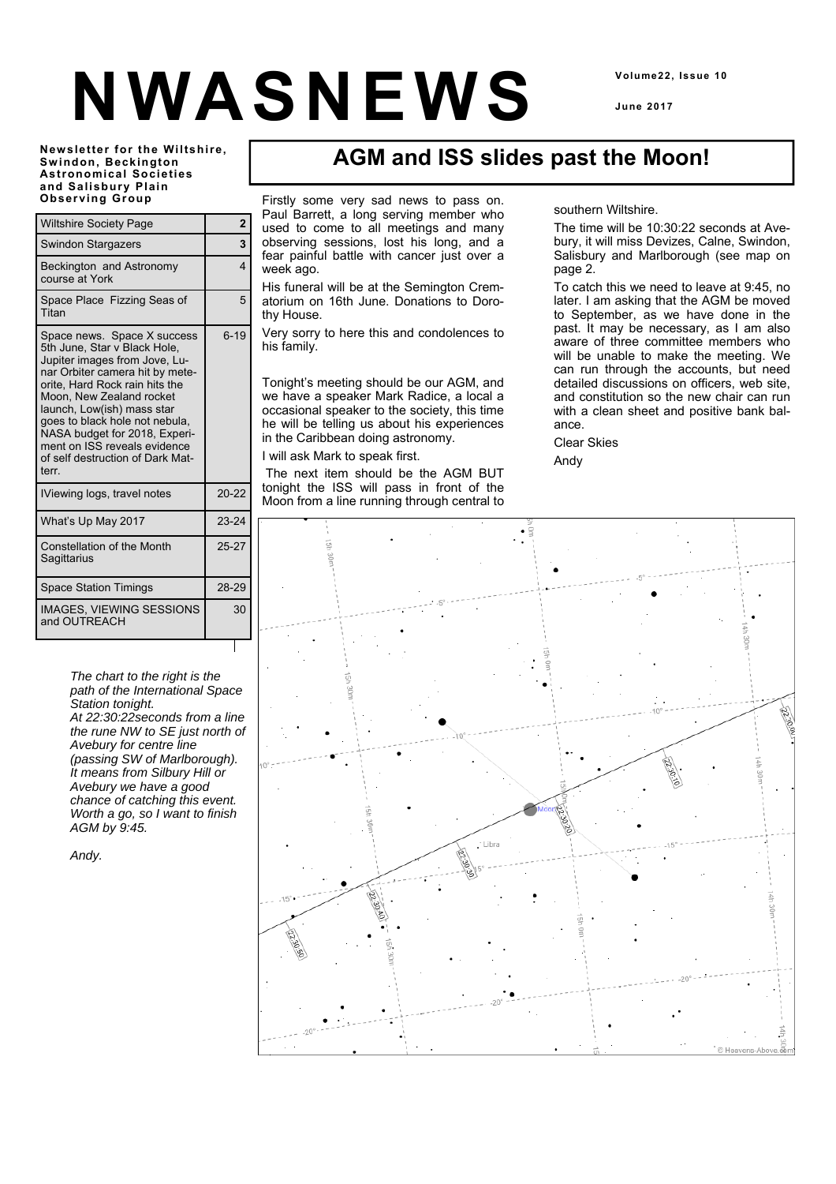# **NWASNEWS**

**Volume22, Issue 10** 

**June 2017** 

**Newsletter for the Wiltshire, Swindon, Beckington Astronomical Societies and Salisbury Plain Observing Group** 

| <b>Wiltshire Society Page</b>                                                                                                                                                                                                                                                                                                                                               | $\overline{2}$ |
|-----------------------------------------------------------------------------------------------------------------------------------------------------------------------------------------------------------------------------------------------------------------------------------------------------------------------------------------------------------------------------|----------------|
| <b>Swindon Stargazers</b>                                                                                                                                                                                                                                                                                                                                                   | 3              |
| Beckington and Astronomy<br>course at York                                                                                                                                                                                                                                                                                                                                  | 4              |
| Space Place Fizzing Seas of<br>Titan                                                                                                                                                                                                                                                                                                                                        | 5              |
| Space news. Space X success<br>5th June, Star v Black Hole,<br>Jupiter images from Jove, Lu-<br>nar Orbiter camera hit by mete-<br>orite, Hard Rock rain hits the<br>Moon. New Zealand rocket<br>launch, Low(ish) mass star<br>goes to black hole not nebula,<br>NASA budget for 2018, Experi-<br>ment on ISS reveals evidence<br>of self destruction of Dark Mat-<br>terr. | $6 - 19$       |
| IViewing logs, travel notes                                                                                                                                                                                                                                                                                                                                                 | $20 - 22$      |
| What's Up May 2017                                                                                                                                                                                                                                                                                                                                                          | $23 - 24$      |
| Constellation of the Month<br>Sagittarius                                                                                                                                                                                                                                                                                                                                   | 25-27          |
| <b>Space Station Timings</b>                                                                                                                                                                                                                                                                                                                                                | 28-29          |
| <b>IMAGES, VIEWING SESSIONS</b><br>and OUTREACH                                                                                                                                                                                                                                                                                                                             | 30             |

*The chart to the right is the path of the International Space Station tonight. At 22:30:22seconds from a line the rune NW to SE just north of Avebury for centre line (passing SW of Marlborough). It means from Silbury Hill or* 

*Avebury we have a good chance of catching this event. Worth a go, so I want to finish AGM by 9:45.* 

*Andy.* 

# **AGM and ISS slides past the Moon!**

Firstly some very sad news to pass on. Paul Barrett, a long serving member who used to come to all meetings and many observing sessions, lost his long, and a fear painful battle with cancer just over a week ago.

His funeral will be at the Semington Crematorium on 16th June. Donations to Dorothy House.

Very sorry to here this and condolences to his family.

Tonight's meeting should be our AGM, and we have a speaker Mark Radice, a local a occasional speaker to the society, this time he will be telling us about his experiences in the Caribbean doing astronomy.

I will ask Mark to speak first.

 The next item should be the AGM BUT tonight the ISS will pass in front of the Moon from a line running through central to

#### southern Wiltshire.

The time will be 10:30:22 seconds at Avebury, it will miss Devizes, Calne, Swindon, Salisbury and Marlborough (see map on page 2.

To catch this we need to leave at 9:45, no later. I am asking that the AGM be moved to September, as we have done in the past. It may be necessary, as I am also aware of three committee members who will be unable to make the meeting. We can run through the accounts, but need detailed discussions on officers, web site, and constitution so the new chair can run with a clean sheet and positive bank balance.

Clear Skies Andy

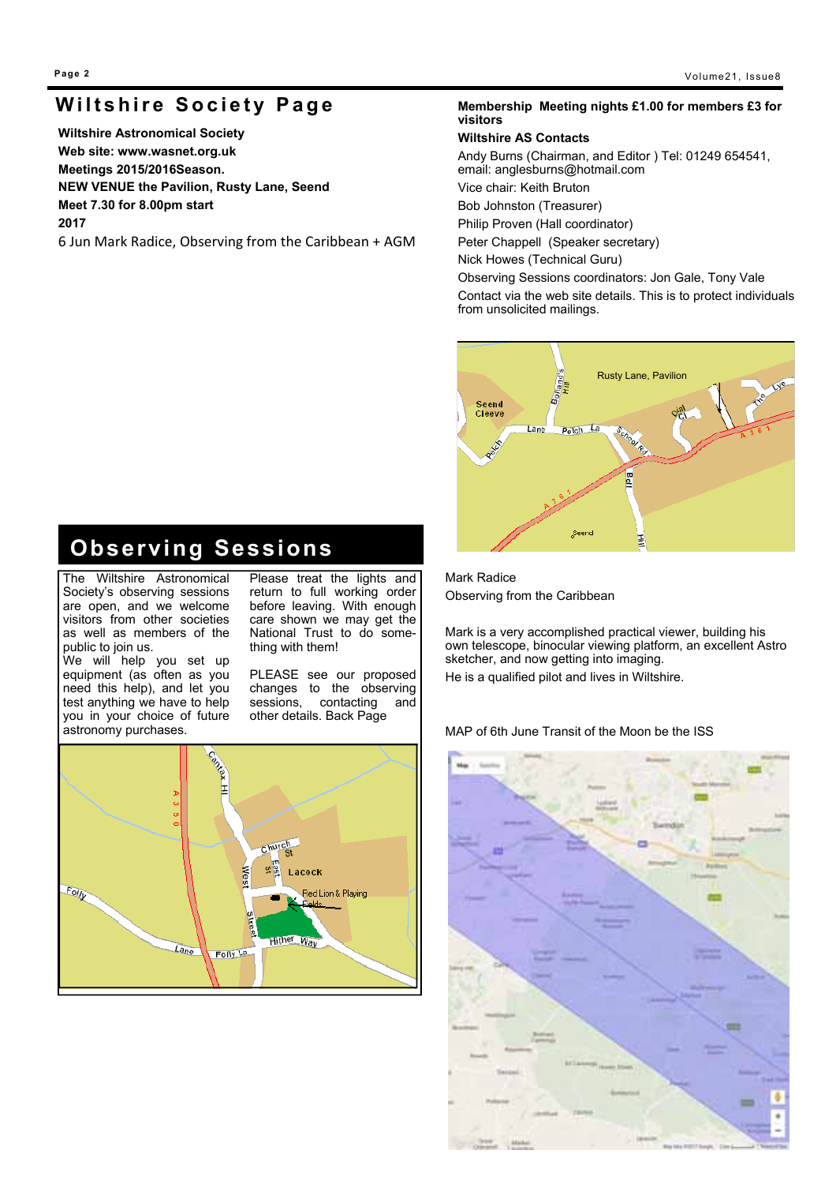# **Wiltshire Society Page**

**Wiltshire Astronomical Society Web site: www.wasnet.org.uk Meetings 2015/2016Season. NEW VENUE the Pavilion, Rusty Lane, Seend Meet 7.30 for 8.00pm start 2017**

6 Jun Mark Radice, Observing from the Caribbean + AGM

#### **Membership Meeting nights £1.00 for members £3 for visitors**

#### **Wiltshire AS Contacts**

Andy Burns (Chairman, and Editor ) Tel: 01249 654541, email: anglesburns@hotmail.com Vice chair: Keith Bruton

Bob Johnston (Treasurer)

Philip Proven (Hall coordinator)

Peter Chappell (Speaker secretary)

Nick Howes (Technical Guru)

Observing Sessions coordinators: Jon Gale, Tony Vale Contact via the web site details. This is to protect individuals from unsolicited mailings.



# **Observing Sessions**

The Wiltshire Astronomical Society's observing sessions are open, and we welcome visitors from other societies as well as members of the public to join us. We will help you set up

equipment (as often as you need this help), and let you test anything we have to help you in your choice of future Please treat the lights and return to full working order before leaving. With enough care shown we may get the National Trust to do something with them!

PLEASE see our proposed changes to the observing<br>sessions, contacting and contacting and other details. Back Page



Mark Radice Observing from the Caribbean

Mark is a very accomplished practical viewer, building his own telescope, binocular viewing platform, an excellent Astro sketcher, and now getting into imaging. He is a qualified pilot and lives in Wiltshire.

MAP of 6th June Transit of the Moon be the ISS

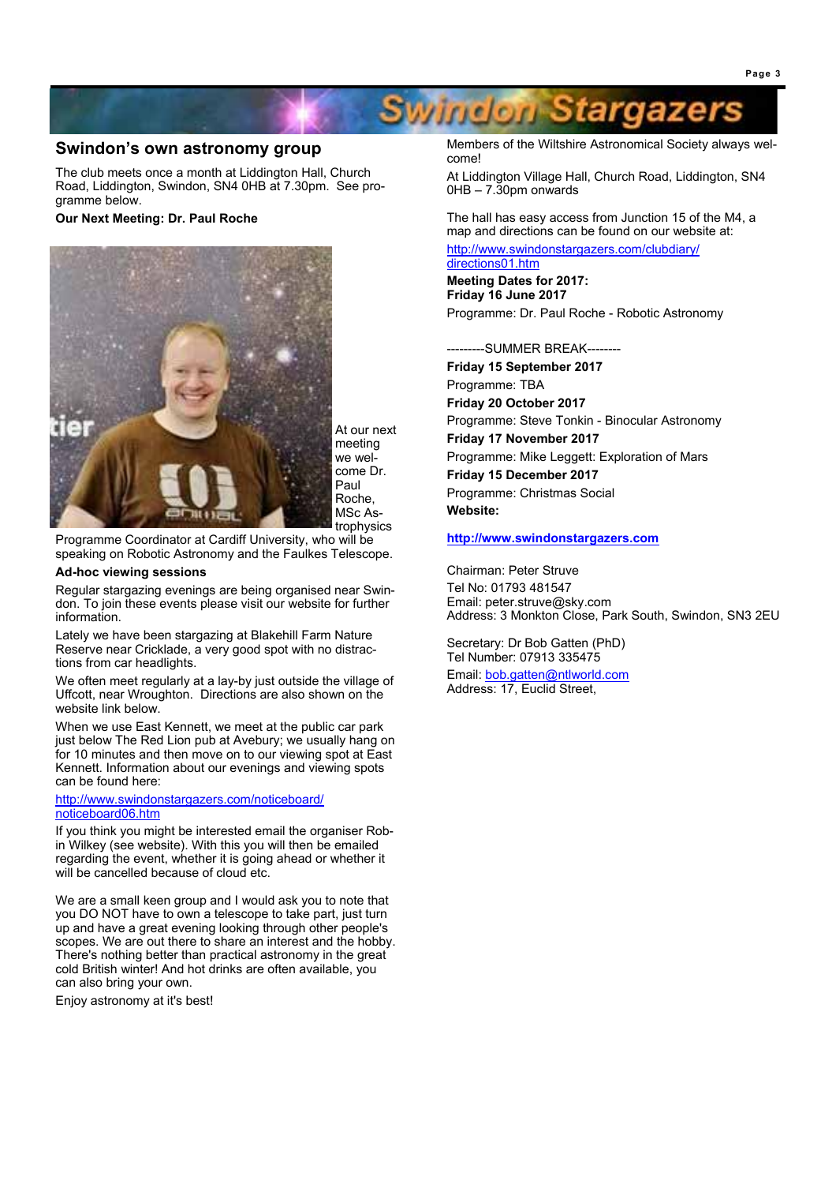#### **Swindon's own astronomy group**

The club meets once a month at Liddington Hall, Church Road, Liddington, Swindon, SN4 0HB at 7.30pm. See programme below.

#### **Our Next Meeting: Dr. Paul Roche**



At our next meeting we welcome Dr. Paul Roche, MSc Astrophysics

Programme Coordinator at Cardiff University, who will be speaking on Robotic Astronomy and the Faulkes Telescope.

#### **Ad-hoc viewing sessions**

Regular stargazing evenings are being organised near Swindon. To join these events please visit our website for further information.

Lately we have been stargazing at Blakehill Farm Nature Reserve near Cricklade, a very good spot with no distractions from car headlights.

We often meet regularly at a lay-by just outside the village of Uffcott, near Wroughton. Directions are also shown on the website link below.

When we use East Kennett, we meet at the public car park just below The Red Lion pub at Avebury; we usually hang on for 10 minutes and then move on to our viewing spot at East Kennett. Information about our evenings and viewing spots can be found here:

#### http://www.swindonstargazers.com/noticeboard/ noticeboard06.htm

If you think you might be interested email the organiser Robin Wilkey (see website). With this you will then be emailed regarding the event, whether it is going ahead or whether it will be cancelled because of cloud etc.

We are a small keen group and I would ask you to note that you DO NOT have to own a telescope to take part, just turn up and have a great evening looking through other people's scopes. We are out there to share an interest and the hobby. There's nothing better than practical astronomy in the great cold British winter! And hot drinks are often available, you can also bring your own.

Enjoy astronomy at it's best!

Members of the Wiltshire Astronomical Society always welcome!

At Liddington Village Hall, Church Road, Liddington, SN4 0HB – 7.30pm onwards

The hall has easy access from Junction 15 of the M4, a map and directions can be found on our website at:

http://www.swindonstargazers.com/clubdiary/ directions01.htm

**Swindon Stargazers** 

**Meeting Dates for 2017: Friday 16 June 2017** Programme: Dr. Paul Roche - Robotic Astronomy

---------SUMMER BREAK--------

**Friday 15 September 2017** Programme: TBA **Friday 20 October 2017** Programme: Steve Tonkin - Binocular Astronomy **Friday 17 November 2017**

Programme: Mike Leggett: Exploration of Mars **Friday 15 December 2017** Programme: Christmas Social **Website:**

**http://www.swindonstargazers.com**

Chairman: Peter Struve Tel No: 01793 481547 Email: peter.struve@sky.com Address: 3 Monkton Close, Park South, Swindon, SN3 2EU

Secretary: Dr Bob Gatten (PhD) Tel Number: 07913 335475

Email: bob.gatten@ntlworld.com Address: 17, Euclid Street,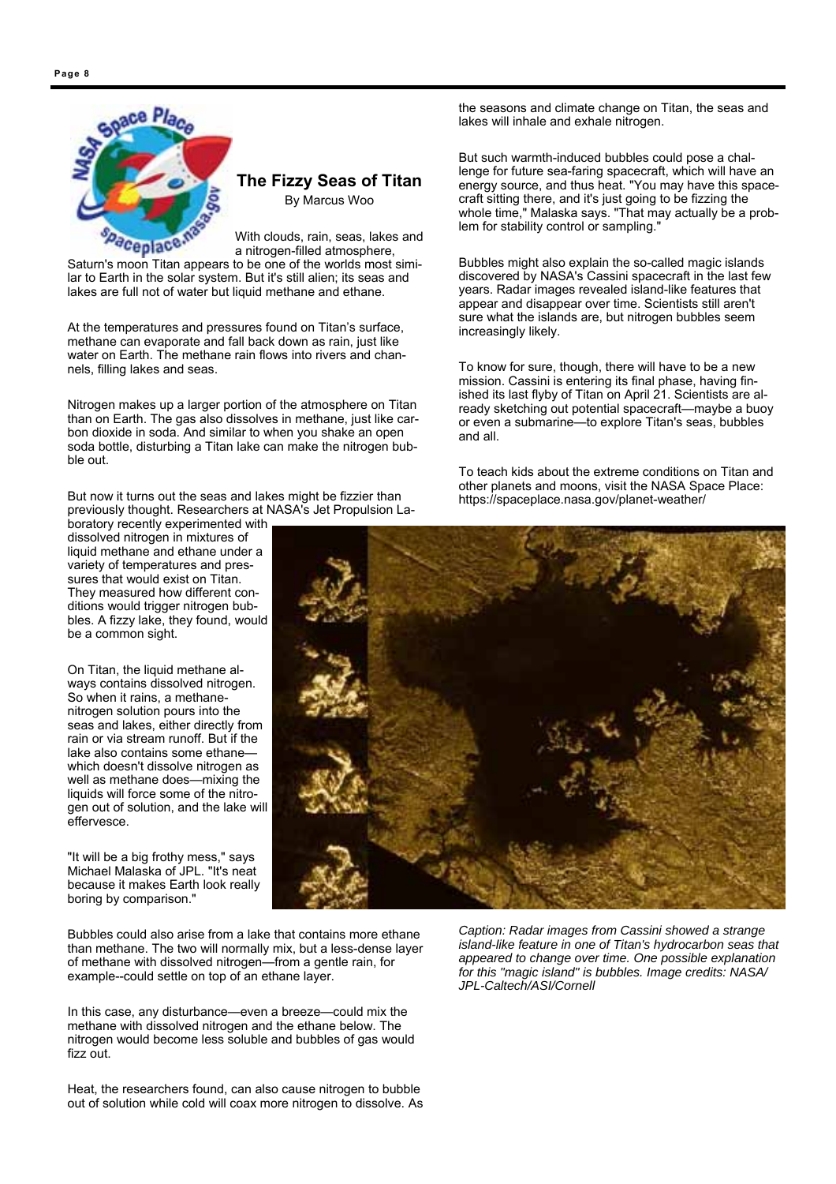

# **The Fizzy Seas of Titan**

By Marcus Woo

With clouds, rain, seas, lakes and a nitrogen-filled atmosphere, Saturn's moon Titan appears to be one of the worlds most simi-

lar to Earth in the solar system. But it's still alien; its seas and lakes are full not of water but liquid methane and ethane.

At the temperatures and pressures found on Titan's surface, methane can evaporate and fall back down as rain, just like water on Earth. The methane rain flows into rivers and channels, filling lakes and seas.

Nitrogen makes up a larger portion of the atmosphere on Titan than on Earth. The gas also dissolves in methane, just like carbon dioxide in soda. And similar to when you shake an open soda bottle, disturbing a Titan lake can make the nitrogen bubble out.

But now it turns out the seas and lakes might be fizzier than previously thought. Researchers at NASA's Jet Propulsion La-

boratory recently experimented with dissolved nitrogen in mixtures of liquid methane and ethane under a variety of temperatures and pressures that would exist on Titan. They measured how different conditions would trigger nitrogen bubbles. A fizzy lake, they found, would be a common sight.

On Titan, the liquid methane always contains dissolved nitrogen. So when it rains, a methanenitrogen solution pours into the seas and lakes, either directly from rain or via stream runoff. But if the lake also contains some ethanewhich doesn't dissolve nitrogen as well as methane does—mixing the liquids will force some of the nitrogen out of solution, and the lake will effervesce.

"It will be a big frothy mess," says Michael Malaska of JPL. "It's neat because it makes Earth look really boring by comparison."

Bubbles could also arise from a lake that contains more ethane than methane. The two will normally mix, but a less-dense layer of methane with dissolved nitrogen—from a gentle rain, for example--could settle on top of an ethane layer.

In this case, any disturbance—even a breeze—could mix the methane with dissolved nitrogen and the ethane below. The nitrogen would become less soluble and bubbles of gas would fizz out.

Heat, the researchers found, can also cause nitrogen to bubble out of solution while cold will coax more nitrogen to dissolve. As

the seasons and climate change on Titan, the seas and lakes will inhale and exhale nitrogen.

But such warmth-induced bubbles could pose a challenge for future sea-faring spacecraft, which will have an energy source, and thus heat. "You may have this spacecraft sitting there, and it's just going to be fizzing the whole time," Malaska says. "That may actually be a problem for stability control or sampling."

Bubbles might also explain the so-called magic islands discovered by NASA's Cassini spacecraft in the last few years. Radar images revealed island-like features that appear and disappear over time. Scientists still aren't sure what the islands are, but nitrogen bubbles seem increasingly likely.

To know for sure, though, there will have to be a new mission. Cassini is entering its final phase, having finished its last flyby of Titan on April 21. Scientists are already sketching out potential spacecraft—maybe a buoy or even a submarine—to explore Titan's seas, bubbles and all.

To teach kids about the extreme conditions on Titan and other planets and moons, visit the NASA Space Place: https://spaceplace.nasa.gov/planet-weather/



*Caption: Radar images from Cassini showed a strange island-like feature in one of Titan's hydrocarbon seas that appeared to change over time. One possible explanation for this "magic island" is bubbles. Image credits: NASA/ JPL-Caltech/ASI/Cornell*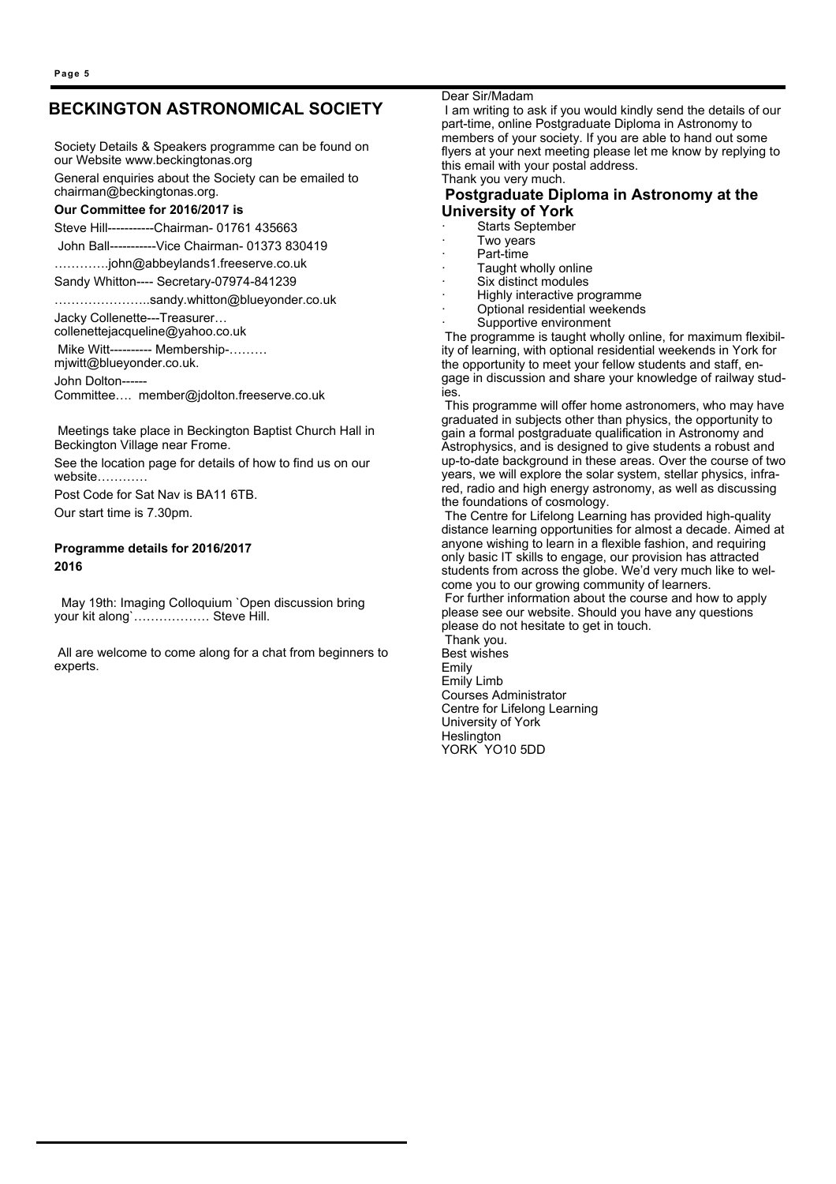# **BECKINGTON ASTRONOMICAL SOCIETY**

Society Details & Speakers programme can be found on our Website www.beckingtonas.org General enquiries about the Society can be emailed to chairman@beckingtonas.org.

#### **Our Committee for 2016/2017 is**

Steve Hill-----------Chairman- 01761 435663

John Ball-----------Vice Chairman- 01373 830419

………….john@abbeylands1.freeserve.co.uk

Sandy Whitton---- Secretary-07974-841239

…………………..sandy.whitton@blueyonder.co.uk

Jacky Collenette---Treasurer…

collenettejacqueline@yahoo.co.uk

 Mike Witt---------- Membership-……… mjwitt@blueyonder.co.uk.

John Dolton------

Committee…. member@jdolton.freeserve.co.uk

 Meetings take place in Beckington Baptist Church Hall in Beckington Village near Frome.

See the location page for details of how to find us on our website…………

Post Code for Sat Nav is BA11 6TB. Our start time is 7.30pm.

#### **Programme details for 2016/2017 2016**

 May 19th: Imaging Colloquium `Open discussion bring your kit along`……………… Steve Hill.

 All are welcome to come along for a chat from beginners to experts.

Dear Sir/Madam

 I am writing to ask if you would kindly send the details of our part-time, online Postgraduate Diploma in Astronomy to members of your society. If you are able to hand out some flyers at your next meeting please let me know by replying to this email with your postal address. Thank you very much.

#### **Postgraduate Diploma in Astronomy at the University of York**

- Starts September
- Two years
- Part-time
- Taught wholly online
- Six distinct modules
- · Highly interactive programme
- Optional residential weekends
- Supportive environment

 The programme is taught wholly online, for maximum flexibility of learning, with optional residential weekends in York for the opportunity to meet your fellow students and staff, engage in discussion and share your knowledge of railway studies.

 This programme will offer home astronomers, who may have graduated in subjects other than physics, the opportunity to gain a formal postgraduate qualification in Astronomy and Astrophysics, and is designed to give students a robust and up-to-date background in these areas. Over the course of two years, we will explore the solar system, stellar physics, infrared, radio and high energy astronomy, as well as discussing the foundations of cosmology.

 The Centre for Lifelong Learning has provided high-quality distance learning opportunities for almost a decade. Aimed at anyone wishing to learn in a flexible fashion, and requiring only basic IT skills to engage, our provision has attracted students from across the globe. We'd very much like to welcome you to our growing community of learners.

 For further information about the course and how to apply please see our website. Should you have any questions please do not hesitate to get in touch.

 Thank you. Best wishes Emily Emily Limb Courses Administrator Centre for Lifelong Learning University of York Heslington YORK YO10 5DD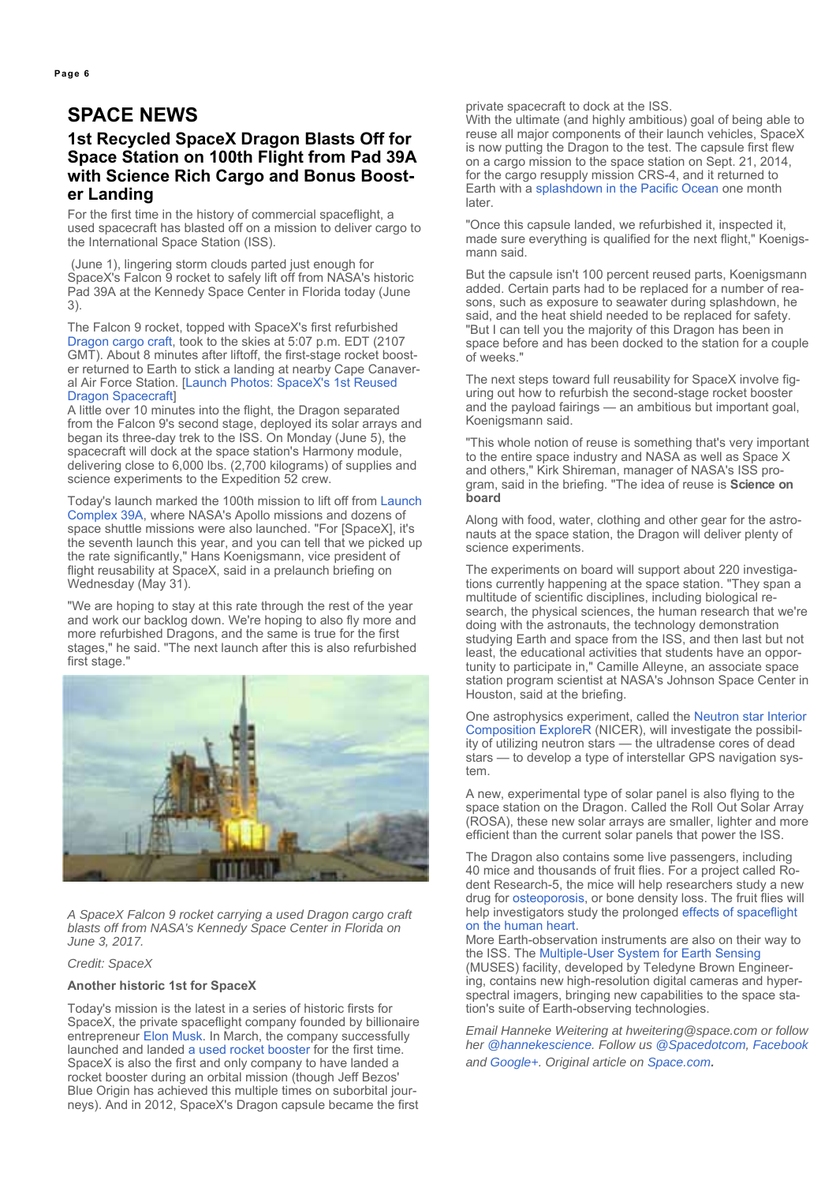# **1st Recycled SpaceX Dragon Blasts Off for Space Station on 100th Flight from Pad 39A with Science Rich Cargo and Bonus Booster Landing**

For the first time in the history of commercial spaceflight, a used spacecraft has blasted off on a mission to deliver cargo to the International Space Station (ISS).

 (June 1), lingering storm clouds parted just enough for SpaceX's Falcon 9 rocket to safely lift off from NASA's historic Pad 39A at the Kennedy Space Center in Florida today (June 3).

The Falcon 9 rocket, topped with SpaceX's first refurbished Dragon cargo craft, took to the skies at 5:07 p.m. EDT (2107 GMT). About 8 minutes after liftoff, the first-stage rocket booster returned to Earth to stick a landing at nearby Cape Canaveral Air Force Station. [Launch Photos: SpaceX's 1st Reused Dragon Spacecraft]

A little over 10 minutes into the flight, the Dragon separated from the Falcon 9's second stage, deployed its solar arrays and began its three-day trek to the ISS. On Monday (June 5), the spacecraft will dock at the space station's Harmony module, delivering close to 6,000 lbs. (2,700 kilograms) of supplies and science experiments to the Expedition 52 crew.

Today's launch marked the 100th mission to lift off from Launch Complex 39A, where NASA's Apollo missions and dozens of space shuttle missions were also launched. "For [SpaceX], it's the seventh launch this year, and you can tell that we picked up the rate significantly," Hans Koenigsmann, vice president of flight reusability at SpaceX, said in a prelaunch briefing on Wednesday (May 31).

"We are hoping to stay at this rate through the rest of the year and work our backlog down. We're hoping to also fly more and more refurbished Dragons, and the same is true for the first stages," he said. "The next launch after this is also refurbished first stage."



*A SpaceX Falcon 9 rocket carrying a used Dragon cargo craft blasts off from NASA's Kennedy Space Center in Florida on June 3, 2017.* 

#### *Credit: SpaceX*

#### **Another historic 1st for SpaceX**

Today's mission is the latest in a series of historic firsts for SpaceX, the private spaceflight company founded by billionaire entrepreneur Elon Musk. In March, the company successfully launched and landed a used rocket booster for the first time. SpaceX is also the first and only company to have landed a rocket booster during an orbital mission (though Jeff Bezos' Blue Origin has achieved this multiple times on suborbital journeys). And in 2012, SpaceX's Dragon capsule became the first

private spacecraft to dock at the ISS.

With the ultimate (and highly ambitious) goal of being able to reuse all major components of their launch vehicles, SpaceX is now putting the Dragon to the test. The capsule first flew on a cargo mission to the space station on Sept. 21, 2014, for the cargo resupply mission CRS-4, and it returned to Earth with a splashdown in the Pacific Ocean one month later.

"Once this capsule landed, we refurbished it, inspected it, made sure everything is qualified for the next flight," Koenigsmann said.

But the capsule isn't 100 percent reused parts, Koenigsmann added. Certain parts had to be replaced for a number of reasons, such as exposure to seawater during splashdown, he said, and the heat shield needed to be replaced for safety. "But I can tell you the majority of this Dragon has been in space before and has been docked to the station for a couple of weeks."

The next steps toward full reusability for SpaceX involve figuring out how to refurbish the second-stage rocket booster and the payload fairings — an ambitious but important goal, Koenigsmann said.

"This whole notion of reuse is something that's very important to the entire space industry and NASA as well as Space X and others," Kirk Shireman, manager of NASA's ISS program, said in the briefing. "The idea of reuse is **Science on board** 

Along with food, water, clothing and other gear for the astronauts at the space station, the Dragon will deliver plenty of science experiments.

The experiments on board will support about 220 investigations currently happening at the space station. "They span a multitude of scientific disciplines, including biological research, the physical sciences, the human research that we're doing with the astronauts, the technology demonstration studying Earth and space from the ISS, and then last but not least, the educational activities that students have an opportunity to participate in," Camille Alleyne, an associate space station program scientist at NASA's Johnson Space Center in Houston, said at the briefing.

One astrophysics experiment, called the Neutron star Interior Composition ExploreR (NICER), will investigate the possibility of utilizing neutron stars — the ultradense cores of dead stars — to develop a type of interstellar GPS navigation system.

A new, experimental type of solar panel is also flying to the space station on the Dragon. Called the Roll Out Solar Array (ROSA), these new solar arrays are smaller, lighter and more efficient than the current solar panels that power the ISS.

The Dragon also contains some live passengers, including 40 mice and thousands of fruit flies. For a project called Rodent Research-5, the mice will help researchers study a new drug for osteoporosis, or bone density loss. The fruit flies will help investigators study the prolonged effects of spaceflight on the human heart.

More Earth-observation instruments are also on their way to the ISS. The Multiple-User System for Earth Sensing (MUSES) facility, developed by Teledyne Brown Engineering, contains new high-resolution digital cameras and hyperspectral imagers, bringing new capabilities to the space station's suite of Earth-observing technologies.

*Email Hanneke Weitering at hweitering@space.com or follow her @hannekescience. Follow us @Spacedotcom, Facebook and Google+. Original article on Space.com.*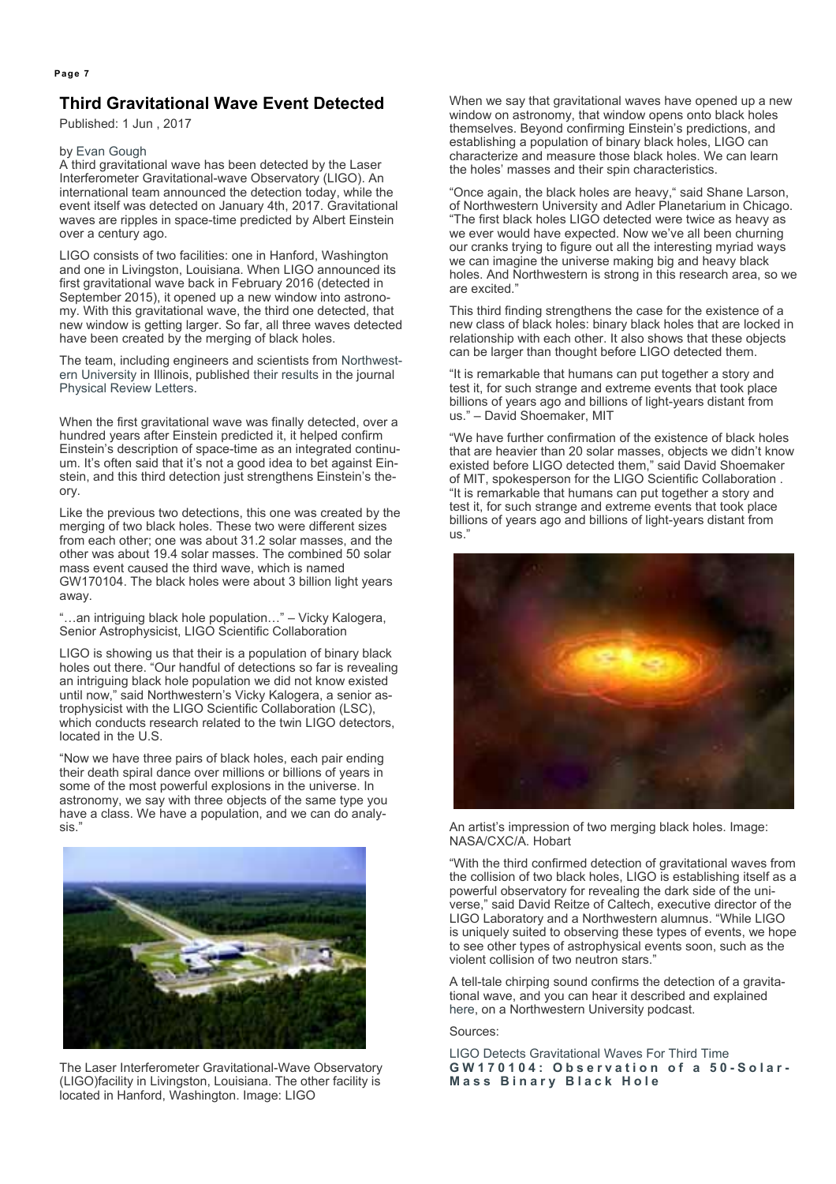# **Third Gravitational Wave Event Detected**

Published: 1 Jun , 2017

#### by Evan Gough

A third gravitational wave has been detected by the Laser Interferometer Gravitational-wave Observatory (LIGO). An international team announced the detection today, while the event itself was detected on January 4th, 2017. Gravitational waves are ripples in space-time predicted by Albert Einstein over a century ago.

LIGO consists of two facilities: one in Hanford, Washington and one in Livingston, Louisiana. When LIGO announced its first gravitational wave back in February 2016 (detected in September 2015), it opened up a new window into astronomy. With this gravitational wave, the third one detected, that new window is getting larger. So far, all three waves detected have been created by the merging of black holes.

The team, including engineers and scientists from Northwestern University in Illinois, published their results in the journal Physical Review Letters.

When the first gravitational wave was finally detected, over a hundred years after Einstein predicted it, it helped confirm Einstein's description of space-time as an integrated continuum. It's often said that it's not a good idea to bet against Einstein, and this third detection just strengthens Einstein's theory.

Like the previous two detections, this one was created by the merging of two black holes. These two were different sizes from each other; one was about 31.2 solar masses, and the other was about 19.4 solar masses. The combined 50 solar mass event caused the third wave, which is named GW170104. The black holes were about 3 billion light years away.

"…an intriguing black hole population…" – Vicky Kalogera, Senior Astrophysicist, LIGO Scientific Collaboration

LIGO is showing us that their is a population of binary black holes out there. "Our handful of detections so far is revealing an intriguing black hole population we did not know existed until now," said Northwestern's Vicky Kalogera, a senior astrophysicist with the LIGO Scientific Collaboration (LSC), which conducts research related to the twin LIGO detectors. located in the U.S.

"Now we have three pairs of black holes, each pair ending their death spiral dance over millions or billions of years in some of the most powerful explosions in the universe. In astronomy, we say with three objects of the same type you have a class. We have a population, and we can do analysis."



The Laser Interferometer Gravitational-Wave Observatory (LIGO)facility in Livingston, Louisiana. The other facility is located in Hanford, Washington. Image: LIGO

When we say that gravitational waves have opened up a new window on astronomy, that window opens onto black holes themselves. Beyond confirming Einstein's predictions, and establishing a population of binary black holes, LIGO can characterize and measure those black holes. We can learn the holes' masses and their spin characteristics.

"Once again, the black holes are heavy," said Shane Larson, of Northwestern University and Adler Planetarium in Chicago. "The first black holes LIGO detected were twice as heavy as we ever would have expected. Now we've all been churning our cranks trying to figure out all the interesting myriad ways we can imagine the universe making big and heavy black holes. And Northwestern is strong in this research area, so we are excited."

This third finding strengthens the case for the existence of a new class of black holes: binary black holes that are locked in relationship with each other. It also shows that these objects can be larger than thought before LIGO detected them.

"It is remarkable that humans can put together a story and test it, for such strange and extreme events that took place billions of years ago and billions of light-years distant from us." – David Shoemaker, MIT

"We have further confirmation of the existence of black holes that are heavier than 20 solar masses, objects we didn't know existed before LIGO detected them," said David Shoemaker of MIT, spokesperson for the LIGO Scientific Collaboration . "It is remarkable that humans can put together a story and test it, for such strange and extreme events that took place billions of years ago and billions of light-years distant from us."



An artist's impression of two merging black holes. Image: NASA/CXC/A. Hobart

"With the third confirmed detection of gravitational waves from the collision of two black holes, LIGO is establishing itself as a powerful observatory for revealing the dark side of the universe," said David Reitze of Caltech, executive director of the LIGO Laboratory and a Northwestern alumnus. "While LIGO is uniquely suited to observing these types of events, we hope to see other types of astrophysical events soon, such as the violent collision of two neutron stars."

A tell-tale chirping sound confirms the detection of a gravitational wave, and you can hear it described and explained here, on a Northwestern University podcast.

Sources:

LIGO Detects Gravitational Waves For Third Time **GW170104: Observation of a 50-Solar-Mass Binary Black Hole**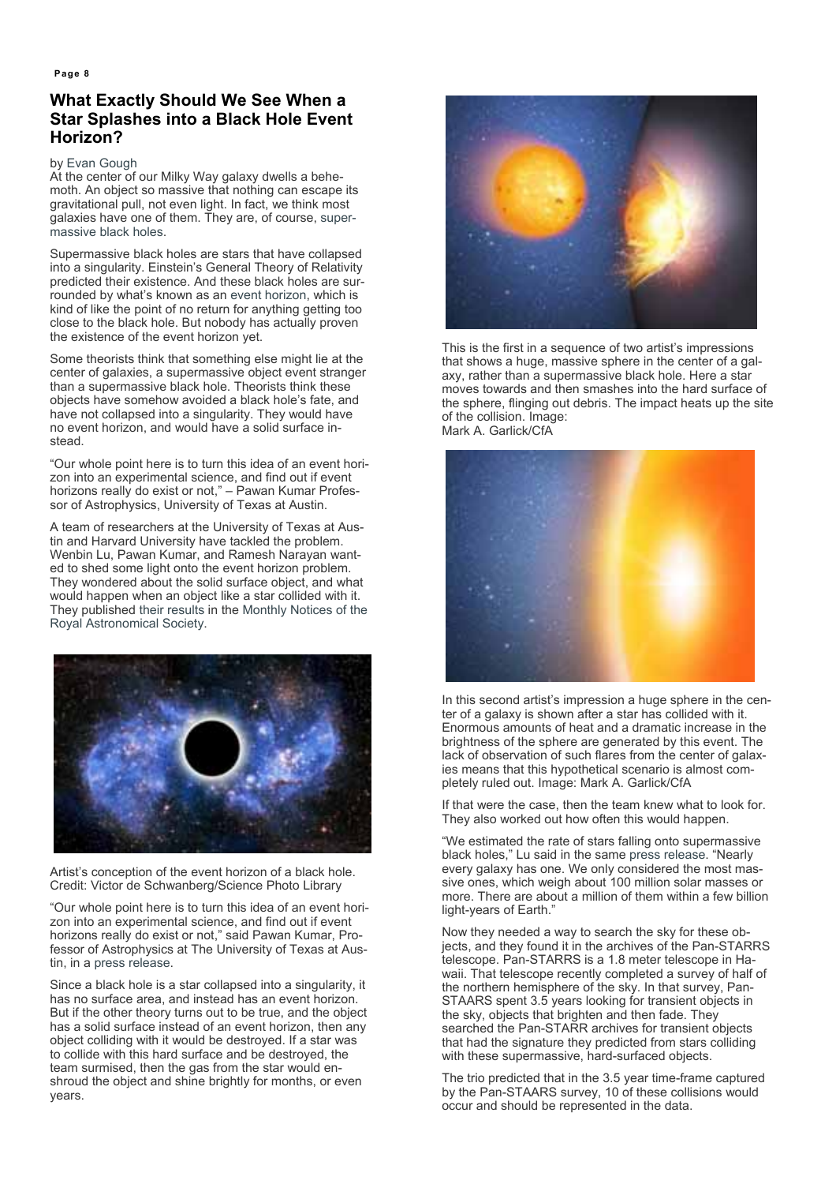# **What Exactly Should We See When a Star Splashes into a Black Hole Event Horizon?**

by Evan Gough

At the center of our Milky Way galaxy dwells a behemoth. An object so massive that nothing can escape its gravitational pull, not even light. In fact, we think most galaxies have one of them. They are, of course, supermassive black holes.

Supermassive black holes are stars that have collapsed into a singularity. Einstein's General Theory of Relativity predicted their existence. And these black holes are surrounded by what's known as an event horizon, which is kind of like the point of no return for anything getting too close to the black hole. But nobody has actually proven the existence of the event horizon yet.

Some theorists think that something else might lie at the center of galaxies, a supermassive object event stranger than a supermassive black hole. Theorists think these objects have somehow avoided a black hole's fate, and have not collapsed into a singularity. They would have no event horizon, and would have a solid surface instead.

"Our whole point here is to turn this idea of an event horizon into an experimental science, and find out if event horizons really do exist or not," – Pawan Kumar Professor of Astrophysics, University of Texas at Austin.

A team of researchers at the University of Texas at Austin and Harvard University have tackled the problem. Wenbin Lu, Pawan Kumar, and Ramesh Narayan wanted to shed some light onto the event horizon problem. They wondered about the solid surface object, and what would happen when an object like a star collided with it. They published their results in the Monthly Notices of the Royal Astronomical Society.



Artist's conception of the event horizon of a black hole. Credit: Victor de Schwanberg/Science Photo Library

"Our whole point here is to turn this idea of an event horizon into an experimental science, and find out if event horizons really do exist or not," said Pawan Kumar, Professor of Astrophysics at The University of Texas at Austin, in a press release.

Since a black hole is a star collapsed into a singularity, it has no surface area, and instead has an event horizon. But if the other theory turns out to be true, and the object has a solid surface instead of an event horizon, then any object colliding with it would be destroyed. If a star was to collide with this hard surface and be destroyed, the team surmised, then the gas from the star would enshroud the object and shine brightly for months, or even years.



This is the first in a sequence of two artist's impressions that shows a huge, massive sphere in the center of a galaxy, rather than a supermassive black hole. Here a star moves towards and then smashes into the hard surface of the sphere, flinging out debris. The impact heats up the site of the collision. Image: Mark A. Garlick/CfA



In this second artist's impression a huge sphere in the center of a galaxy is shown after a star has collided with it. Enormous amounts of heat and a dramatic increase in the brightness of the sphere are generated by this event. The lack of observation of such flares from the center of galaxies means that this hypothetical scenario is almost completely ruled out. Image: Mark A. Garlick/CfA

If that were the case, then the team knew what to look for. They also worked out how often this would happen.

"We estimated the rate of stars falling onto supermassive black holes," Lu said in the same press release. "Nearly every galaxy has one. We only considered the most massive ones, which weigh about 100 million solar masses or more. There are about a million of them within a few billion light-years of Earth."

Now they needed a way to search the sky for these objects, and they found it in the archives of the Pan-STARRS telescope. Pan-STARRS is a 1.8 meter telescope in Hawaii. That telescope recently completed a survey of half of the northern hemisphere of the sky. In that survey, Pan-STAARS spent 3.5 years looking for transient objects in the sky, objects that brighten and then fade. They searched the Pan-STARR archives for transient objects that had the signature they predicted from stars colliding with these supermassive, hard-surfaced objects.

The trio predicted that in the 3.5 year time-frame captured by the Pan-STAARS survey, 10 of these collisions would occur and should be represented in the data.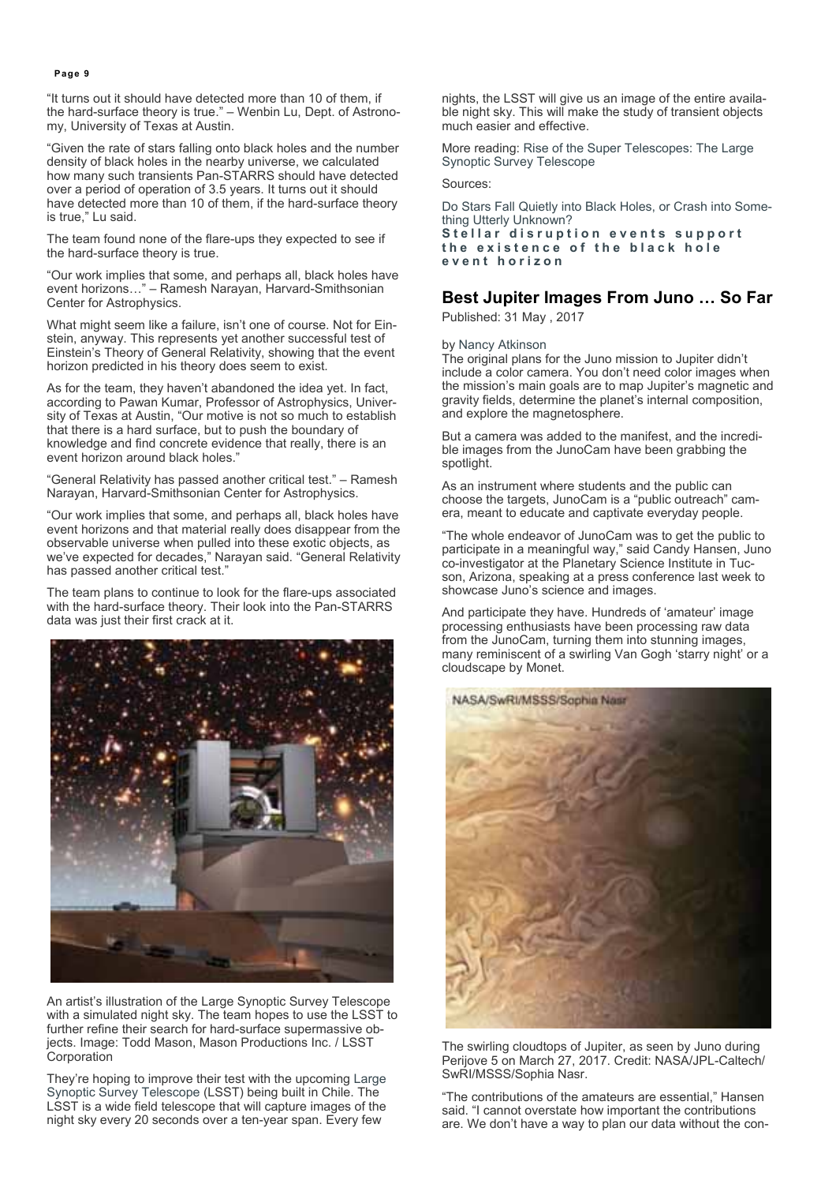"It turns out it should have detected more than 10 of them, if the hard-surface theory is true." – Wenbin Lu, Dept. of Astronomy, University of Texas at Austin.

"Given the rate of stars falling onto black holes and the number density of black holes in the nearby universe, we calculated how many such transients Pan-STARRS should have detected over a period of operation of 3.5 years. It turns out it should have detected more than 10 of them, if the hard-surface theory is true," Lu said.

The team found none of the flare-ups they expected to see if the hard-surface theory is true.

"Our work implies that some, and perhaps all, black holes have event horizons…" – Ramesh Narayan, Harvard-Smithsonian Center for Astrophysics.

What might seem like a failure, isn't one of course. Not for Einstein, anyway. This represents yet another successful test of Einstein's Theory of General Relativity, showing that the event horizon predicted in his theory does seem to exist.

As for the team, they haven't abandoned the idea yet. In fact, according to Pawan Kumar, Professor of Astrophysics, University of Texas at Austin, "Our motive is not so much to establish that there is a hard surface, but to push the boundary of knowledge and find concrete evidence that really, there is an event horizon around black holes."

"General Relativity has passed another critical test." – Ramesh Narayan, Harvard-Smithsonian Center for Astrophysics.

"Our work implies that some, and perhaps all, black holes have event horizons and that material really does disappear from the observable universe when pulled into these exotic objects, as we've expected for decades," Narayan said. "General Relativity has passed another critical test."

The team plans to continue to look for the flare-ups associated with the hard-surface theory. Their look into the Pan-STARRS data was just their first crack at it.



An artist's illustration of the Large Synoptic Survey Telescope with a simulated night sky. The team hopes to use the LSST to further refine their search for hard-surface supermassive objects. Image: Todd Mason, Mason Productions Inc. / LSST **Corporation** 

They're hoping to improve their test with the upcoming Large Synoptic Survey Telescope (LSST) being built in Chile. The LSST is a wide field telescope that will capture images of the night sky every 20 seconds over a ten-year span. Every few

nights, the LSST will give us an image of the entire available night sky. This will make the study of transient objects much easier and effective.

More reading: Rise of the Super Telescopes: The Large Synoptic Survey Telescope

Sources:

Do Stars Fall Quietly into Black Holes, or Crash into Something Utterly Unknown?

**Stellar disruption events support the existence of the black hole event horizon**

# **Best Jupiter Images From Juno … So Far**

Published: 31 May , 2017

by Nancy Atkinson

The original plans for the Juno mission to Jupiter didn't include a color camera. You don't need color images when the mission's main goals are to map Jupiter's magnetic and gravity fields, determine the planet's internal composition, and explore the magnetosphere.

But a camera was added to the manifest, and the incredible images from the JunoCam have been grabbing the spotlight.

As an instrument where students and the public can choose the targets, JunoCam is a "public outreach" camera, meant to educate and captivate everyday people.

"The whole endeavor of JunoCam was to get the public to participate in a meaningful way," said Candy Hansen, Juno co-investigator at the Planetary Science Institute in Tucson, Arizona, speaking at a press conference last week to showcase Juno's science and images.

And participate they have. Hundreds of 'amateur' image processing enthusiasts have been processing raw data from the JunoCam, turning them into stunning images, many reminiscent of a swirling Van Gogh 'starry night' or a cloudscape by Monet.



The swirling cloudtops of Jupiter, as seen by Juno during Perijove 5 on March 27, 2017. Credit: NASA/JPL-Caltech/ SwRI/MSSS/Sophia Nasr.

"The contributions of the amateurs are essential," Hansen said. "I cannot overstate how important the contributions are. We don't have a way to plan our data without the con-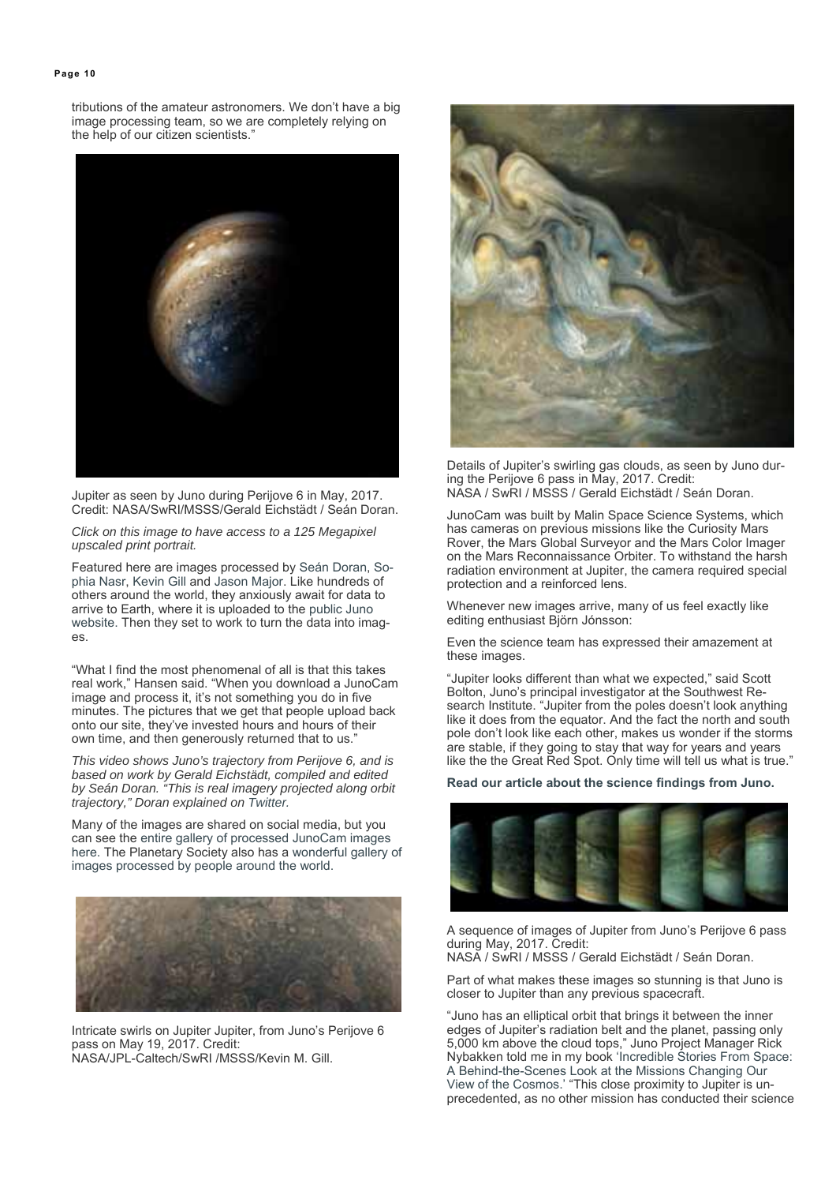tributions of the amateur astronomers. We don't have a big image processing team, so we are completely relying on the help of our citizen scientists."



Jupiter as seen by Juno during Perijove 6 in May, 2017. Credit: NASA/SwRI/MSSS/Gerald Eichstädt / Seán Doran.

*Click on this image to have access to a 125 Megapixel upscaled print portrait.* 

Featured here are images processed by Seán Doran, Sophia Nasr, Kevin Gill and Jason Major. Like hundreds of others around the world, they anxiously await for data to arrive to Earth, where it is uploaded to the public Juno website. Then they set to work to turn the data into images.

"What I find the most phenomenal of all is that this takes real work," Hansen said. "When you download a JunoCam image and process it, it's not something you do in five minutes. The pictures that we get that people upload back onto our site, they've invested hours and hours of their own time, and then generously returned that to us."

*This video shows Juno's trajectory from Perijove 6, and is based on work by Gerald Eichstädt, compiled and edited by Seán Doran. "This is real imagery projected along orbit trajectory," Doran explained on Twitter.*

Many of the images are shared on social media, but you can see the entire gallery of processed JunoCam images here. The Planetary Society also has a wonderful gallery of images processed by people around the world.



Intricate swirls on Jupiter Jupiter, from Juno's Perijove 6 pass on May 19, 2017. Credit: NASA/JPL-Caltech/SwRI /MSSS/Kevin M. Gill.



Details of Jupiter's swirling gas clouds, as seen by Juno during the Perijove 6 pass in May, 2017. Credit: NASA / SwRI / MSSS / Gerald Eichstädt / Seán Doran.

JunoCam was built by Malin Space Science Systems, which has cameras on previous missions like the Curiosity Mars Rover, the Mars Global Surveyor and the Mars Color Imager on the Mars Reconnaissance Orbiter. To withstand the harsh radiation environment at Jupiter, the camera required special protection and a reinforced lens.

Whenever new images arrive, many of us feel exactly like editing enthusiast Björn Jónsson:

Even the science team has expressed their amazement at these images.

"Jupiter looks different than what we expected," said Scott Bolton, Juno's principal investigator at the Southwest Research Institute. "Jupiter from the poles doesn't look anything like it does from the equator. And the fact the north and south pole don't look like each other, makes us wonder if the storms are stable, if they going to stay that way for years and years like the the Great Red Spot. Only time will tell us what is true."

#### **Read our article about the science findings from Juno.**



A sequence of images of Jupiter from Juno's Perijove 6 pass during May, 2017. Credit:

NASA / SwRI / MSSS / Gerald Eichstädt / Seán Doran.

Part of what makes these images so stunning is that Juno is closer to Jupiter than any previous spacecraft.

"Juno has an elliptical orbit that brings it between the inner edges of Jupiter's radiation belt and the planet, passing only 5,000 km above the cloud tops," Juno Project Manager Rick Nybakken told me in my book 'Incredible Stories From Space: A Behind-the-Scenes Look at the Missions Changing Our View of the Cosmos.' "This close proximity to Jupiter is unprecedented, as no other mission has conducted their science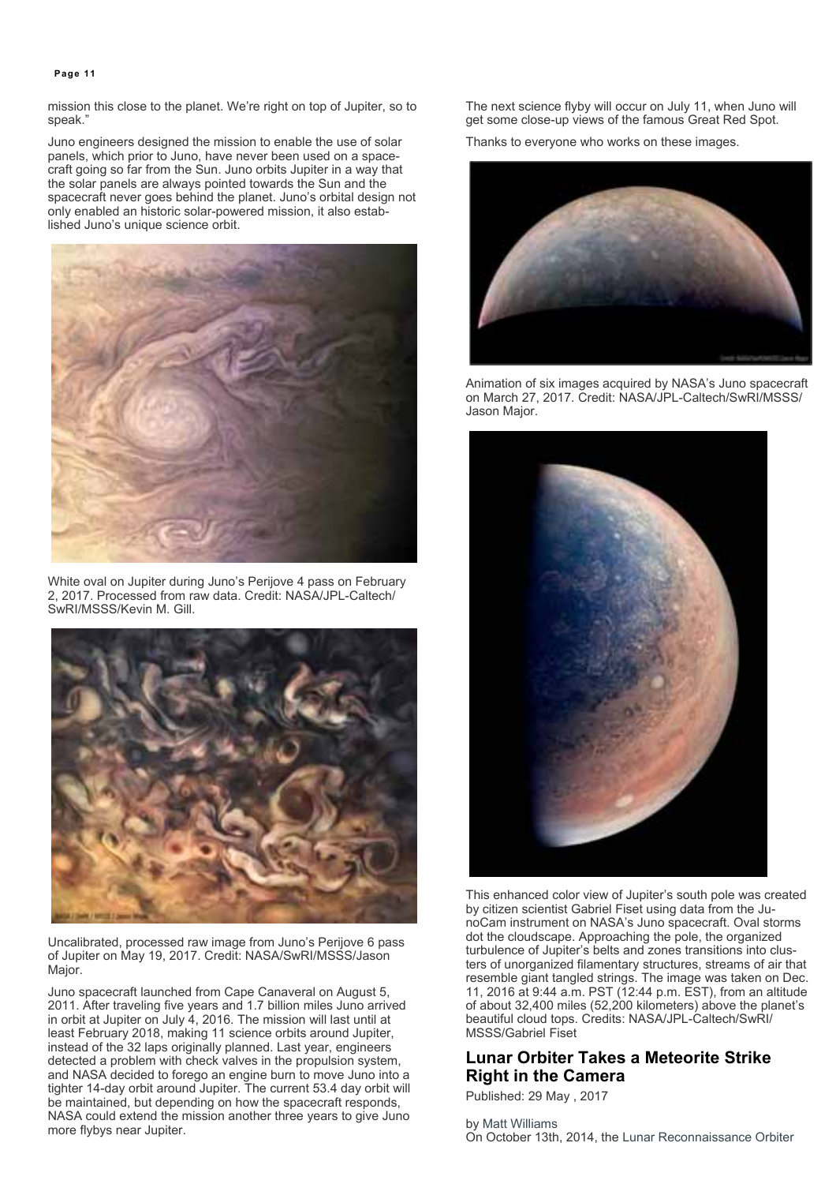mission this close to the planet. We're right on top of Jupiter, so to speak."

Juno engineers designed the mission to enable the use of solar panels, which prior to Juno, have never been used on a spacecraft going so far from the Sun. Juno orbits Jupiter in a way that the solar panels are always pointed towards the Sun and the spacecraft never goes behind the planet. Juno's orbital design not only enabled an historic solar-powered mission, it also established Juno's unique science orbit.



White oval on Jupiter during Juno's Perijove 4 pass on February 2, 2017. Processed from raw data. Credit: NASA/JPL-Caltech/ SwRI/MSSS/Kevin M. Gill.



Uncalibrated, processed raw image from Juno's Perijove 6 pass of Jupiter on May 19, 2017. Credit: NASA/SwRI/MSSS/Jason Major.

Juno spacecraft launched from Cape Canaveral on August 5, 2011. After traveling five years and 1.7 billion miles Juno arrived in orbit at Jupiter on July 4, 2016. The mission will last until at least February 2018, making 11 science orbits around Jupiter, instead of the 32 laps originally planned. Last year, engineers detected a problem with check valves in the propulsion system, and NASA decided to forego an engine burn to move Juno into a tighter 14-day orbit around Jupiter. The current 53.4 day orbit will be maintained, but depending on how the spacecraft responds, NASA could extend the mission another three years to give Juno more flybys near Jupiter.

The next science flyby will occur on July 11, when Juno will get some close-up views of the famous Great Red Spot.

Thanks to everyone who works on these images.



Animation of six images acquired by NASA's Juno spacecraft on March 27, 2017. Credit: NASA/JPL-Caltech/SwRI/MSSS/ Jason Major.



This enhanced color view of Jupiter's south pole was created by citizen scientist Gabriel Fiset using data from the JunoCam instrument on NASA's Juno spacecraft. Oval storms dot the cloudscape. Approaching the pole, the organized turbulence of Jupiter's belts and zones transitions into clusters of unorganized filamentary structures, streams of air that resemble giant tangled strings. The image was taken on Dec. 11, 2016 at 9:44 a.m. PST (12:44 p.m. EST), from an altitude of about 32,400 miles (52,200 kilometers) above the planet's beautiful cloud tops. Credits: NASA/JPL-Caltech/SwRI/ MSSS/Gabriel Fiset

# **Lunar Orbiter Takes a Meteorite Strike Right in the Camera**

Published: 29 May , 2017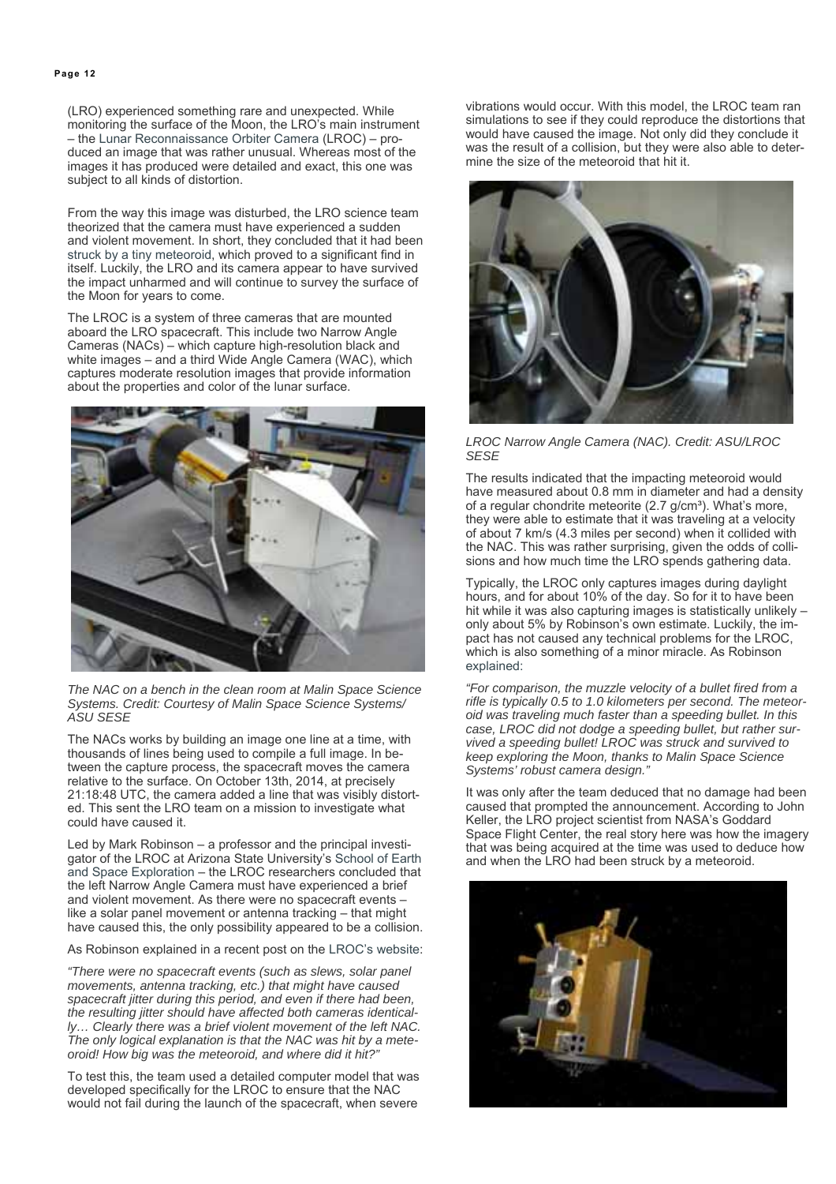(LRO) experienced something rare and unexpected. While monitoring the surface of the Moon, the LRO's main instrument – the Lunar Reconnaissance Orbiter Camera (LROC) – produced an image that was rather unusual. Whereas most of the images it has produced were detailed and exact, this one was subject to all kinds of distortion.

From the way this image was disturbed, the LRO science team theorized that the camera must have experienced a sudden and violent movement. In short, they concluded that it had been struck by a tiny meteoroid, which proved to a significant find in itself. Luckily, the LRO and its camera appear to have survived the impact unharmed and will continue to survey the surface of the Moon for years to come.

The LROC is a system of three cameras that are mounted aboard the LRO spacecraft. This include two Narrow Angle Cameras (NACs) – which capture high-resolution black and white images – and a third Wide Angle Camera (WAC), which captures moderate resolution images that provide information about the properties and color of the lunar surface.



*The NAC on a bench in the clean room at Malin Space Science Systems. Credit: Courtesy of Malin Space Science Systems/ ASU SESE*

The NACs works by building an image one line at a time, with thousands of lines being used to compile a full image. In between the capture process, the spacecraft moves the camera relative to the surface. On October 13th, 2014, at precisely 21:18:48 UTC, the camera added a line that was visibly distorted. This sent the LRO team on a mission to investigate what could have caused it.

Led by Mark Robinson – a professor and the principal investigator of the LROC at Arizona State University's School of Earth and Space Exploration – the LROC researchers concluded that the left Narrow Angle Camera must have experienced a brief and violent movement. As there were no spacecraft events – like a solar panel movement or antenna tracking – that might have caused this, the only possibility appeared to be a collision.

As Robinson explained in a recent post on the LROC's website:

*"There were no spacecraft events (such as slews, solar panel movements, antenna tracking, etc.) that might have caused spacecraft jitter during this period, and even if there had been, the resulting jitter should have affected both cameras identically… Clearly there was a brief violent movement of the left NAC. The only logical explanation is that the NAC was hit by a meteoroid! How big was the meteoroid, and where did it hit?"*

To test this, the team used a detailed computer model that was developed specifically for the LROC to ensure that the NAC would not fail during the launch of the spacecraft, when severe

vibrations would occur. With this model, the LROC team ran simulations to see if they could reproduce the distortions that would have caused the image. Not only did they conclude it was the result of a collision, but they were also able to determine the size of the meteoroid that hit it.



*LROC Narrow Angle Camera (NAC). Credit: ASU/LROC SESE*

The results indicated that the impacting meteoroid would have measured about 0.8 mm in diameter and had a density of a regular chondrite meteorite (2.7 g/cm<sup>3</sup>). What's more, they were able to estimate that it was traveling at a velocity of about 7 km/s (4.3 miles per second) when it collided with the NAC. This was rather surprising, given the odds of collisions and how much time the LRO spends gathering data.

Typically, the LROC only captures images during daylight hours, and for about 10% of the day. So for it to have been hit while it was also capturing images is statistically unlikely – only about 5% by Robinson's own estimate. Luckily, the impact has not caused any technical problems for the LROC, which is also something of a minor miracle. As Robinson explained:

*"For comparison, the muzzle velocity of a bullet fired from a rifle is typically 0.5 to 1.0 kilometers per second. The meteoroid was traveling much faster than a speeding bullet. In this case, LROC did not dodge a speeding bullet, but rather survived a speeding bullet! LROC was struck and survived to keep exploring the Moon, thanks to Malin Space Science Systems' robust camera design."*

It was only after the team deduced that no damage had been caused that prompted the announcement. According to John Keller, the LRO project scientist from NASA's Goddard Space Flight Center, the real story here was how the imagery that was being acquired at the time was used to deduce how and when the LRO had been struck by a meteoroid.

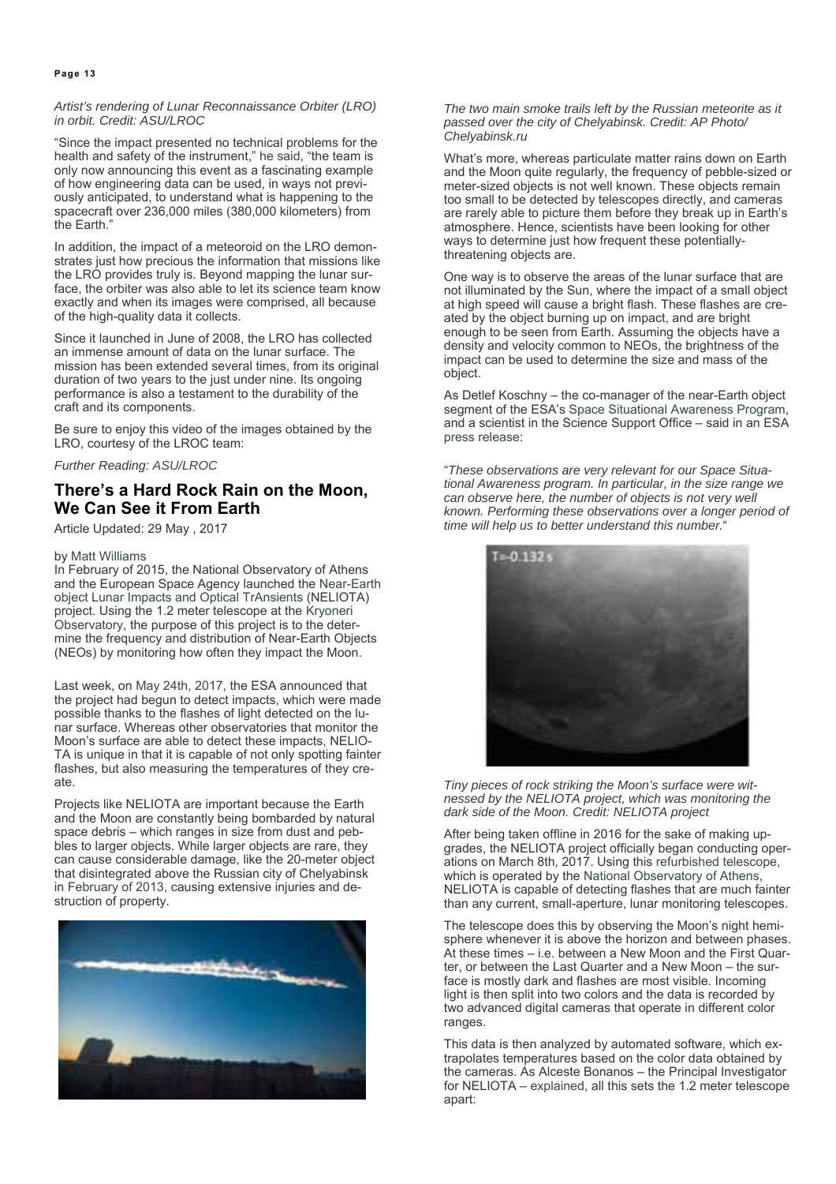#### *Artist's rendering of Lunar Reconnaissance Orbiter (LRO) in orbit. Credit: ASU/LROC*

"Since the impact presented no technical problems for the health and safety of the instrument," he said, "the team is only now announcing this event as a fascinating example of how engineering data can be used, in ways not previously anticipated, to understand what is happening to the spacecraft over 236,000 miles (380,000 kilometers) from the Earth."

In addition, the impact of a meteoroid on the LRO demonstrates just how precious the information that missions like the LRO provides truly is. Beyond mapping the lunar surface, the orbiter was also able to let its science team know exactly and when its images were comprised, all because of the high-quality data it collects.

Since it launched in June of 2008, the LRO has collected an immense amount of data on the lunar surface. The mission has been extended several times, from its original duration of two years to the just under nine. Its ongoing performance is also a testament to the durability of the craft and its components.

Be sure to enjoy this video of the images obtained by the LRO, courtesy of the LROC team:

*Further Reading: ASU/LROC*

# **There's a Hard Rock Rain on the Moon, We Can See it From Earth**

Article Updated: 29 May , 2017

#### by Matt Williams

In February of 2015, the National Observatory of Athens and the European Space Agency launched the Near-Earth object Lunar Impacts and Optical TrAnsients (NELIOTA) project. Using the 1.2 meter telescope at the Kryoneri Observatory, the purpose of this project is to the determine the frequency and distribution of Near-Earth Objects (NEOs) by monitoring how often they impact the Moon.

Last week, on May 24th, 2017, the ESA announced that the project had begun to detect impacts, which were made possible thanks to the flashes of light detected on the lunar surface. Whereas other observatories that monitor the Moon's surface are able to detect these impacts, NELIO-TA is unique in that it is capable of not only spotting fainter flashes, but also measuring the temperatures of they create.

Projects like NELIOTA are important because the Earth and the Moon are constantly being bombarded by natural space debris – which ranges in size from dust and pebbles to larger objects. While larger objects are rare, they can cause considerable damage, like the 20-meter object that disintegrated above the Russian city of Chelyabinsk in February of 2013, causing extensive injuries and destruction of property.



#### *The two main smoke trails left by the Russian meteorite as it passed over the city of Chelyabinsk. Credit: AP Photo/ Chelyabinsk.ru*

What's more, whereas particulate matter rains down on Earth and the Moon quite regularly, the frequency of pebble-sized or meter-sized objects is not well known. These objects remain too small to be detected by telescopes directly, and cameras are rarely able to picture them before they break up in Earth's atmosphere. Hence, scientists have been looking for other ways to determine just how frequent these potentiallythreatening objects are.

One way is to observe the areas of the lunar surface that are not illuminated by the Sun, where the impact of a small object at high speed will cause a bright flash. These flashes are created by the object burning up on impact, and are bright enough to be seen from Earth. Assuming the objects have a density and velocity common to NEOs, the brightness of the impact can be used to determine the size and mass of the object.

As Detlef Koschny – the co-manager of the near-Earth object segment of the ESA's Space Situational Awareness Program, and a scientist in the Science Support Office – said in an ESA press release:

"*These observations are very relevant for our Space Situational Awareness program. In particular, in the size range we can observe here, the number of objects is not very well known. Performing these observations over a longer period of time will help us to better understand this number.*"



*Tiny pieces of rock striking the Moon's surface were witnessed by the NELIOTA project, which was monitoring the dark side of the Moon. Credit: NELIOTA project*

After being taken offline in 2016 for the sake of making upgrades, the NELIOTA project officially began conducting operations on March 8th, 2017. Using this refurbished telescope, which is operated by the National Observatory of Athens, NELIOTA is capable of detecting flashes that are much fainter than any current, small-aperture, lunar monitoring telescopes.

The telescope does this by observing the Moon's night hemisphere whenever it is above the horizon and between phases. At these times – i.e. between a New Moon and the First Quarter, or between the Last Quarter and a New Moon – the surface is mostly dark and flashes are most visible. Incoming light is then split into two colors and the data is recorded by two advanced digital cameras that operate in different color ranges.

This data is then analyzed by automated software, which extrapolates temperatures based on the color data obtained by the cameras. As Alceste Bonanos – the Principal Investigator for NELIOTA – explained, all this sets the 1.2 meter telescope apart: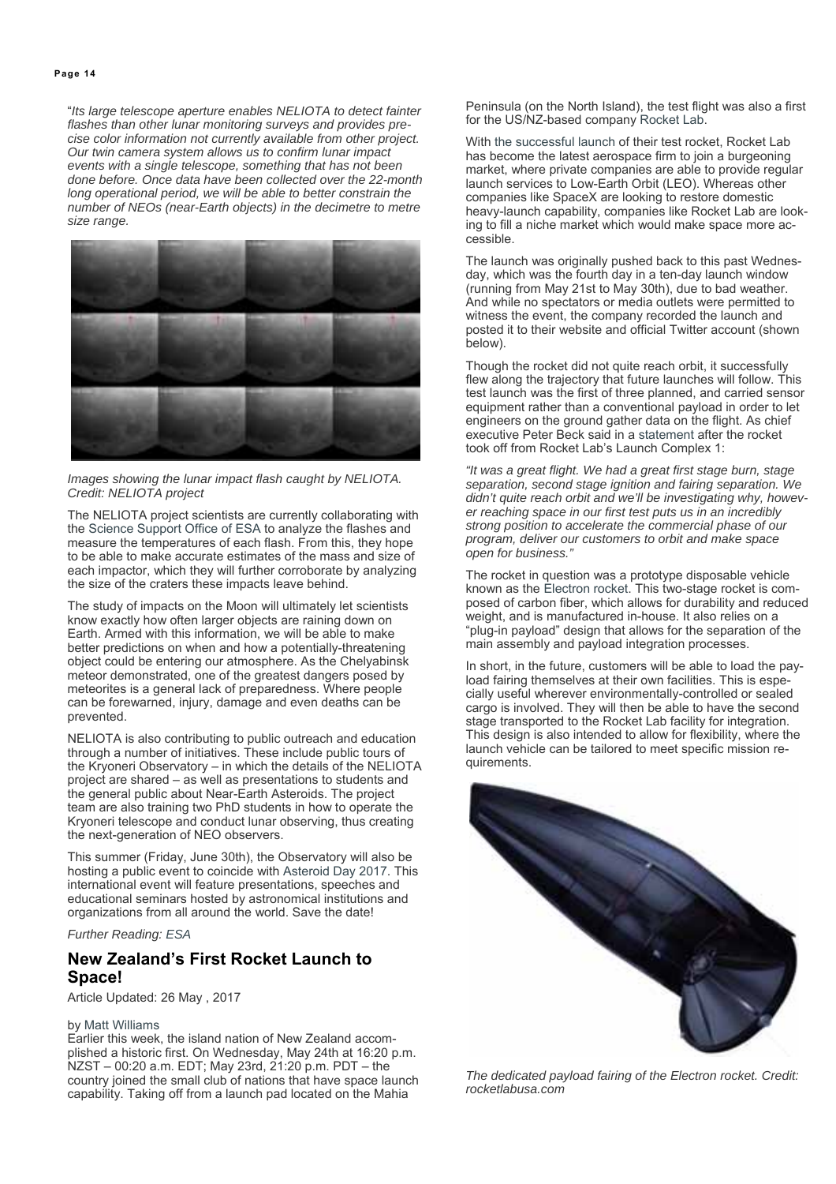"*Its large telescope aperture enables NELIOTA to detect fainter flashes than other lunar monitoring surveys and provides precise color information not currently available from other project. Our twin camera system allows us to confirm lunar impact events with a single telescope, something that has not been done before. Once data have been collected over the 22-month long operational period, we will be able to better constrain the number of NEOs (near-Earth objects) in the decimetre to metre size range.*



#### *Images showing the lunar impact flash caught by NELIOTA. Credit: NELIOTA project*

The NELIOTA project scientists are currently collaborating with the Science Support Office of ESA to analyze the flashes and measure the temperatures of each flash. From this, they hope to be able to make accurate estimates of the mass and size of each impactor, which they will further corroborate by analyzing the size of the craters these impacts leave behind.

The study of impacts on the Moon will ultimately let scientists know exactly how often larger objects are raining down on Earth. Armed with this information, we will be able to make better predictions on when and how a potentially-threatening object could be entering our atmosphere. As the Chelyabinsk meteor demonstrated, one of the greatest dangers posed by meteorites is a general lack of preparedness. Where people can be forewarned, injury, damage and even deaths can be prevented.

NELIOTA is also contributing to public outreach and education through a number of initiatives. These include public tours of the Kryoneri Observatory – in which the details of the NELIOTA project are shared – as well as presentations to students and the general public about Near-Earth Asteroids. The project team are also training two PhD students in how to operate the Kryoneri telescope and conduct lunar observing, thus creating the next-generation of NEO observers.

This summer (Friday, June 30th), the Observatory will also be hosting a public event to coincide with Asteroid Day 2017. This international event will feature presentations, speeches and educational seminars hosted by astronomical institutions and organizations from all around the world. Save the date!

#### *Further Reading: ESA*

# **New Zealand's First Rocket Launch to Space!**

Article Updated: 26 May , 2017

#### by Matt Williams

Earlier this week, the island nation of New Zealand accomplished a historic first. On Wednesday, May 24th at 16:20 p.m. NZST – 00:20 a.m. EDT; May 23rd, 21:20 p.m. PDT – the country joined the small club of nations that have space launch capability. Taking off from a launch pad located on the Mahia

Peninsula (on the North Island), the test flight was also a first for the US/NZ-based company Rocket Lab.

With the successful launch of their test rocket, Rocket Lab has become the latest aerospace firm to join a burgeoning market, where private companies are able to provide regular launch services to Low-Earth Orbit (LEO). Whereas other companies like SpaceX are looking to restore domestic heavy-launch capability, companies like Rocket Lab are looking to fill a niche market which would make space more accessible.

The launch was originally pushed back to this past Wednesday, which was the fourth day in a ten-day launch window (running from May 21st to May 30th), due to bad weather. And while no spectators or media outlets were permitted to witness the event, the company recorded the launch and posted it to their website and official Twitter account (shown below).

Though the rocket did not quite reach orbit, it successfully flew along the trajectory that future launches will follow. This test launch was the first of three planned, and carried sensor equipment rather than a conventional payload in order to let engineers on the ground gather data on the flight. As chief executive Peter Beck said in a statement after the rocket took off from Rocket Lab's Launch Complex 1:

*"It was a great flight. We had a great first stage burn, stage separation, second stage ignition and fairing separation. We didn't quite reach orbit and we'll be investigating why, however reaching space in our first test puts us in an incredibly strong position to accelerate the commercial phase of our program, deliver our customers to orbit and make space open for business."*

The rocket in question was a prototype disposable vehicle known as the Electron rocket. This two-stage rocket is composed of carbon fiber, which allows for durability and reduced weight, and is manufactured in-house. It also relies on a "plug-in payload" design that allows for the separation of the main assembly and payload integration processes.

In short, in the future, customers will be able to load the payload fairing themselves at their own facilities. This is especially useful wherever environmentally-controlled or sealed cargo is involved. They will then be able to have the second stage transported to the Rocket Lab facility for integration. This design is also intended to allow for flexibility, where the launch vehicle can be tailored to meet specific mission requirements.



*The dedicated payload fairing of the Electron rocket. Credit: rocketlabusa.com*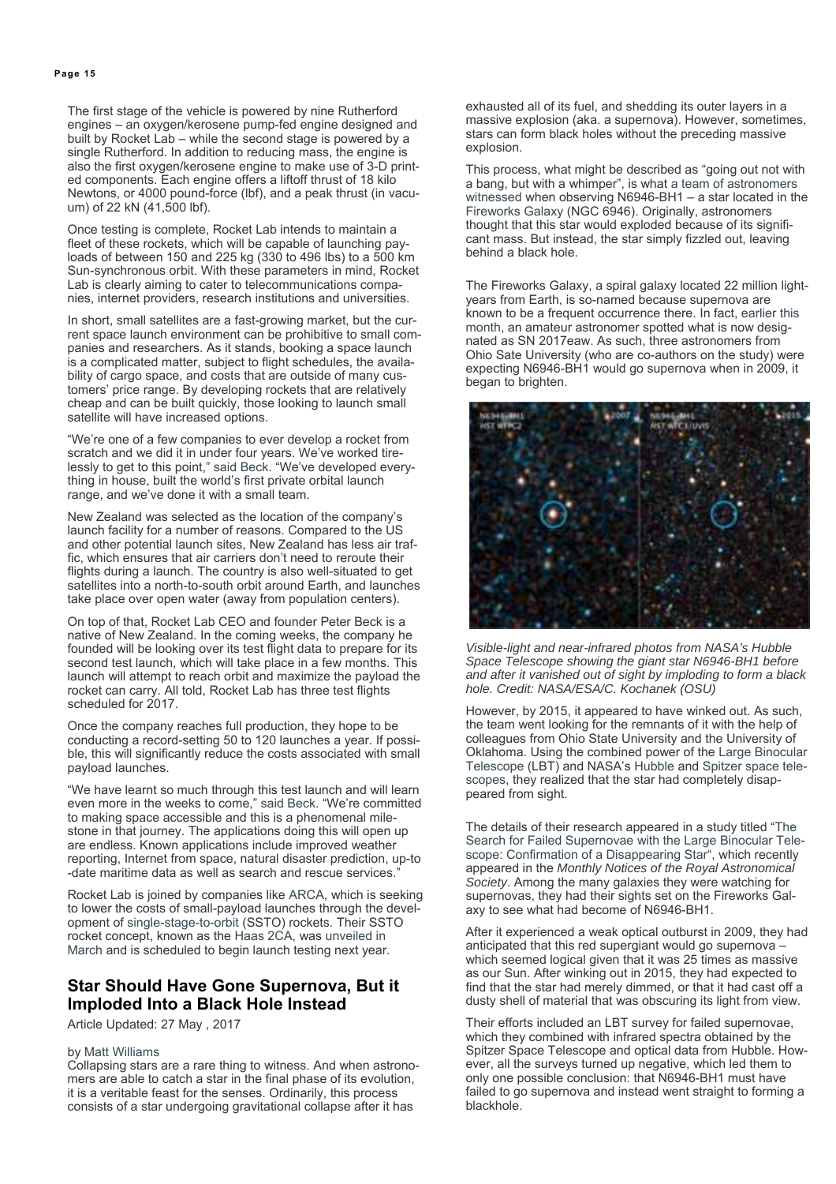The first stage of the vehicle is powered by nine Rutherford engines – an oxygen/kerosene pump-fed engine designed and built by Rocket Lab – while the second stage is powered by a single Rutherford. In addition to reducing mass, the engine is also the first oxygen/kerosene engine to make use of 3-D printed components. Each engine offers a liftoff thrust of 18 kilo Newtons, or 4000 pound-force (lbf), and a peak thrust (in vacuum) of 22 kN (41,500 lbf).

Once testing is complete, Rocket Lab intends to maintain a fleet of these rockets, which will be capable of launching payloads of between 150 and 225 kg (330 to 496 lbs) to a 500 km Sun-synchronous orbit. With these parameters in mind, Rocket Lab is clearly aiming to cater to telecommunications companies, internet providers, research institutions and universities.

In short, small satellites are a fast-growing market, but the current space launch environment can be prohibitive to small companies and researchers. As it stands, booking a space launch is a complicated matter, subject to flight schedules, the availability of cargo space, and costs that are outside of many customers' price range. By developing rockets that are relatively cheap and can be built quickly, those looking to launch small satellite will have increased options.

"We're one of a few companies to ever develop a rocket from scratch and we did it in under four years. We've worked tirelessly to get to this point," said Beck. "We've developed everything in house, built the world's first private orbital launch range, and we've done it with a small team.

New Zealand was selected as the location of the company's launch facility for a number of reasons. Compared to the US and other potential launch sites, New Zealand has less air traffic, which ensures that air carriers don't need to reroute their flights during a launch. The country is also well-situated to get satellites into a north-to-south orbit around Earth, and launches take place over open water (away from population centers).

On top of that, Rocket Lab CEO and founder Peter Beck is a native of New Zealand. In the coming weeks, the company he founded will be looking over its test flight data to prepare for its second test launch, which will take place in a few months. This launch will attempt to reach orbit and maximize the payload the rocket can carry. All told, Rocket Lab has three test flights scheduled for 2017.

Once the company reaches full production, they hope to be conducting a record-setting 50 to 120 launches a year. If possible, this will significantly reduce the costs associated with small payload launches.

"We have learnt so much through this test launch and will learn even more in the weeks to come," said Beck. "We're committed to making space accessible and this is a phenomenal milestone in that journey. The applications doing this will open up are endless. Known applications include improved weather reporting, Internet from space, natural disaster prediction, up-to -date maritime data as well as search and rescue services."

Rocket Lab is joined by companies like ARCA, which is seeking to lower the costs of small-payload launches through the development of single-stage-to-orbit (SSTO) rockets. Their SSTO rocket concept, known as the Haas 2CA, was unveiled in March and is scheduled to begin launch testing next year.

#### **Star Should Have Gone Supernova, But it Imploded Into a Black Hole Instead**

Article Updated: 27 May , 2017

#### by Matt Williams

Collapsing stars are a rare thing to witness. And when astronomers are able to catch a star in the final phase of its evolution, it is a veritable feast for the senses. Ordinarily, this process consists of a star undergoing gravitational collapse after it has

exhausted all of its fuel, and shedding its outer layers in a massive explosion (aka. a supernova). However, sometimes, stars can form black holes without the preceding massive explosion.

This process, what might be described as "going out not with a bang, but with a whimper", is what a team of astronomers witnessed when observing N6946-BH1 – a star located in the Fireworks Galaxy (NGC 6946). Originally, astronomers thought that this star would exploded because of its significant mass. But instead, the star simply fizzled out, leaving behind a black hole.

The Fireworks Galaxy, a spiral galaxy located 22 million lightyears from Earth, is so-named because supernova are known to be a frequent occurrence there. In fact, earlier this month, an amateur astronomer spotted what is now designated as SN 2017eaw. As such, three astronomers from Ohio Sate University (who are co-authors on the study) were expecting N6946-BH1 would go supernova when in 2009, it began to brighten.



*Visible-light and near-infrared photos from NASA's Hubble Space Telescope showing the giant star N6946-BH1 before and after it vanished out of sight by imploding to form a black hole. Credit: NASA/ESA/C. Kochanek (OSU)*

However, by 2015, it appeared to have winked out. As such, the team went looking for the remnants of it with the help of colleagues from Ohio State University and the University of Oklahoma. Using the combined power of the Large Binocular Telescope (LBT) and NASA's Hubble and Spitzer space telescopes, they realized that the star had completely disappeared from sight.

The details of their research appeared in a study titled "The Search for Failed Supernovae with the Large Binocular Telescope: Confirmation of a Disappearing Star", which recently appeared in the *Monthly Notices of the Royal Astronomical Society*. Among the many galaxies they were watching for supernovas, they had their sights set on the Fireworks Galaxy to see what had become of N6946-BH1.

After it experienced a weak optical outburst in 2009, they had anticipated that this red supergiant would go supernova – which seemed logical given that it was 25 times as massive as our Sun. After winking out in 2015, they had expected to find that the star had merely dimmed, or that it had cast off a dusty shell of material that was obscuring its light from view.

Their efforts included an LBT survey for failed supernovae, which they combined with infrared spectra obtained by the Spitzer Space Telescope and optical data from Hubble. However, all the surveys turned up negative, which led them to only one possible conclusion: that N6946-BH1 must have failed to go supernova and instead went straight to forming a blackhole.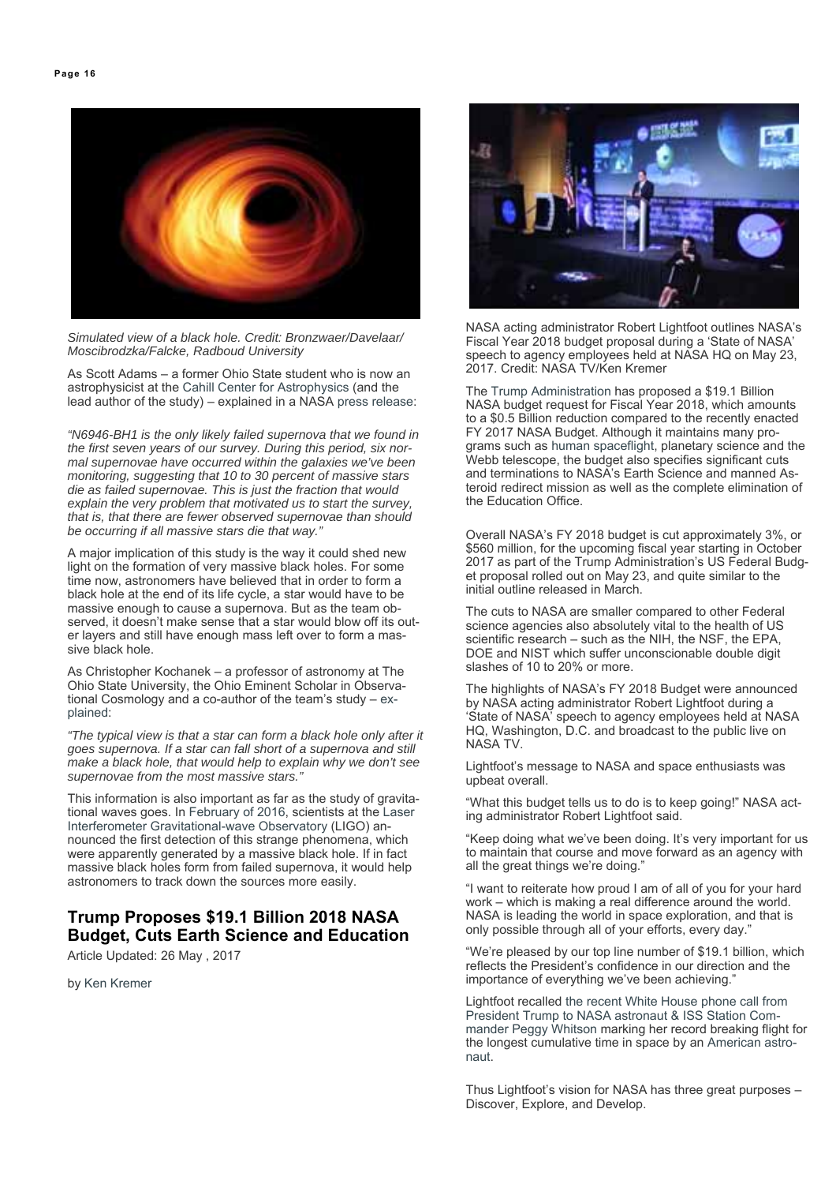

*Simulated view of a black hole. Credit: Bronzwaer/Davelaar/ Moscibrodzka/Falcke, Radboud University*

As Scott Adams – a former Ohio State student who is now an astrophysicist at the Cahill Center for Astrophysics (and the lead author of the study) – explained in a NASA press release:

*"N6946-BH1 is the only likely failed supernova that we found in the first seven years of our survey. During this period, six normal supernovae have occurred within the galaxies we've been monitoring, suggesting that 10 to 30 percent of massive stars die as failed supernovae. This is just the fraction that would explain the very problem that motivated us to start the survey, that is, that there are fewer observed supernovae than should be occurring if all massive stars die that way."*

A major implication of this study is the way it could shed new light on the formation of very massive black holes. For some time now, astronomers have believed that in order to form a black hole at the end of its life cycle, a star would have to be massive enough to cause a supernova. But as the team observed, it doesn't make sense that a star would blow off its outer layers and still have enough mass left over to form a massive black hole.

As Christopher Kochanek – a professor of astronomy at The Ohio State University, the Ohio Eminent Scholar in Observational Cosmology and a co-author of the team's study – explained:

*"The typical view is that a star can form a black hole only after it goes supernova. If a star can fall short of a supernova and still make a black hole, that would help to explain why we don't see supernovae from the most massive stars."*

This information is also important as far as the study of gravitational waves goes. In February of 2016, scientists at the Laser Interferometer Gravitational-wave Observatory (LIGO) announced the first detection of this strange phenomena, which were apparently generated by a massive black hole. If in fact massive black holes form from failed supernova, it would help astronomers to track down the sources more easily.

# **Trump Proposes \$19.1 Billion 2018 NASA Budget, Cuts Earth Science and Education**

Article Updated: 26 May , 2017

by Ken Kremer



NASA acting administrator Robert Lightfoot outlines NASA's Fiscal Year 2018 budget proposal during a 'State of NASA' speech to agency employees held at NASA HQ on May 23, 2017. Credit: NASA TV/Ken Kremer

The Trump Administration has proposed a \$19.1 Billion NASA budget request for Fiscal Year 2018, which amounts to a \$0.5 Billion reduction compared to the recently enacted FY 2017 NASA Budget. Although it maintains many programs such as human spaceflight, planetary science and the Webb telescope, the budget also specifies significant cuts and terminations to NASA's Earth Science and manned Asteroid redirect mission as well as the complete elimination of the Education Office.

Overall NASA's FY 2018 budget is cut approximately 3%, or \$560 million, for the upcoming fiscal year starting in October 2017 as part of the Trump Administration's US Federal Budget proposal rolled out on May 23, and quite similar to the initial outline released in March.

The cuts to NASA are smaller compared to other Federal science agencies also absolutely vital to the health of US scientific research – such as the NIH, the NSF, the EPA, DOE and NIST which suffer unconscionable double digit slashes of 10 to 20% or more.

The highlights of NASA's FY 2018 Budget were announced by NASA acting administrator Robert Lightfoot during a 'State of NASA' speech to agency employees held at NASA HQ, Washington, D.C. and broadcast to the public live on NASA TV.

Lightfoot's message to NASA and space enthusiasts was upbeat overall.

"What this budget tells us to do is to keep going!" NASA acting administrator Robert Lightfoot said.

"Keep doing what we've been doing. It's very important for us to maintain that course and move forward as an agency with all the great things we're doing."

"I want to reiterate how proud I am of all of you for your hard work – which is making a real difference around the world. NASA is leading the world in space exploration, and that is only possible through all of your efforts, every day.'

"We're pleased by our top line number of \$19.1 billion, which reflects the President's confidence in our direction and the importance of everything we've been achieving."

Lightfoot recalled the recent White House phone call from President Trump to NASA astronaut & ISS Station Commander Peggy Whitson marking her record breaking flight for the longest cumulative time in space by an American astronaut.

Thus Lightfoot's vision for NASA has three great purposes – Discover, Explore, and Develop.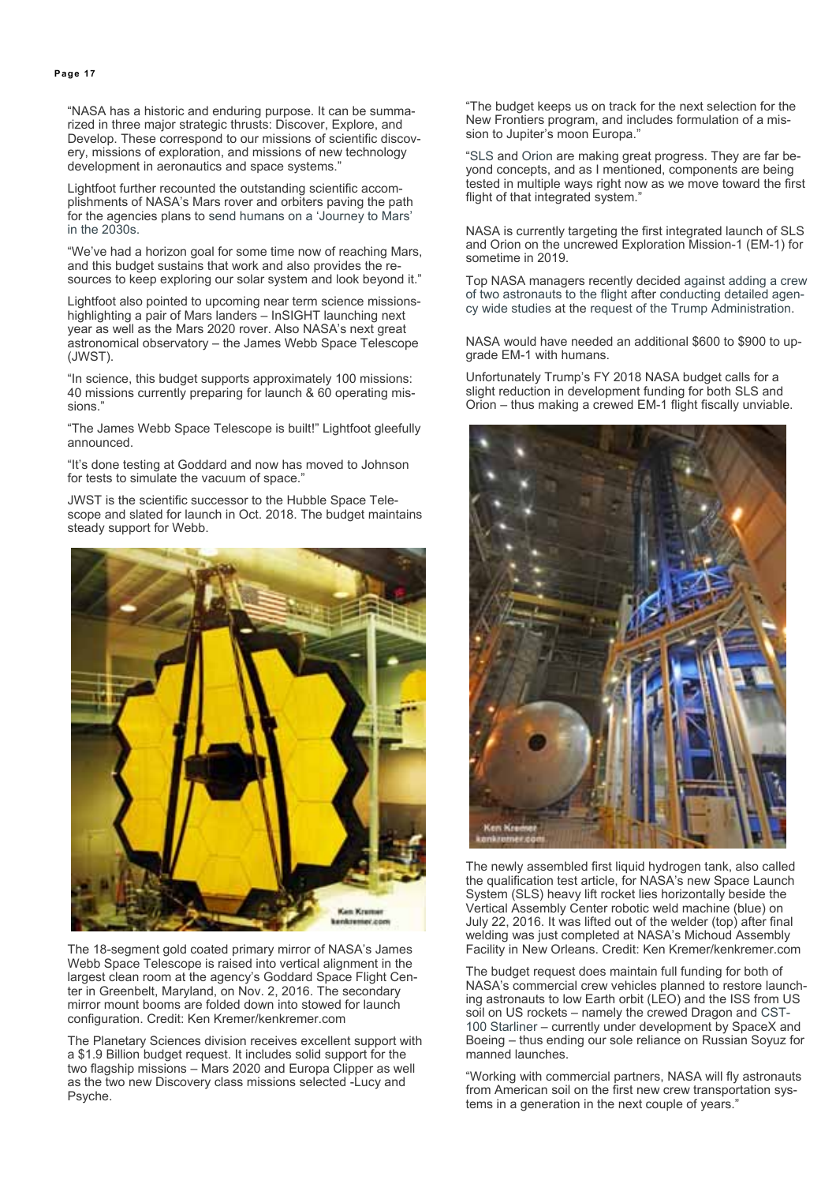"NASA has a historic and enduring purpose. It can be summarized in three major strategic thrusts: Discover, Explore, and Develop. These correspond to our missions of scientific discovery, missions of exploration, and missions of new technology development in aeronautics and space systems."

Lightfoot further recounted the outstanding scientific accomplishments of NASA's Mars rover and orbiters paving the path for the agencies plans to send humans on a 'Journey to Mars' in the 2030s.

"We've had a horizon goal for some time now of reaching Mars, and this budget sustains that work and also provides the resources to keep exploring our solar system and look beyond it."

Lightfoot also pointed to upcoming near term science missionshighlighting a pair of Mars landers – InSIGHT launching next year as well as the Mars 2020 rover. Also NASA's next great astronomical observatory – the James Webb Space Telescope (JWST).

"In science, this budget supports approximately 100 missions: 40 missions currently preparing for launch & 60 operating missions."

"The James Webb Space Telescope is built!" Lightfoot gleefully announced.

"It's done testing at Goddard and now has moved to Johnson for tests to simulate the vacuum of space."

JWST is the scientific successor to the Hubble Space Telescope and slated for launch in Oct. 2018. The budget maintains steady support for Webb.



The 18-segment gold coated primary mirror of NASA's James Webb Space Telescope is raised into vertical alignment in the largest clean room at the agency's Goddard Space Flight Center in Greenbelt, Maryland, on Nov. 2, 2016. The secondary mirror mount booms are folded down into stowed for launch configuration. Credit: Ken Kremer/kenkremer.com

The Planetary Sciences division receives excellent support with a \$1.9 Billion budget request. It includes solid support for the two flagship missions – Mars 2020 and Europa Clipper as well as the two new Discovery class missions selected -Lucy and Psyche.

"The budget keeps us on track for the next selection for the New Frontiers program, and includes formulation of a mission to Jupiter's moon Europa."

"SLS and Orion are making great progress. They are far beyond concepts, and as I mentioned, components are being tested in multiple ways right now as we move toward the first flight of that integrated system."

NASA is currently targeting the first integrated launch of SLS and Orion on the uncrewed Exploration Mission-1 (EM-1) for sometime in 2019.

Top NASA managers recently decided against adding a crew of two astronauts to the flight after conducting detailed agency wide studies at the request of the Trump Administration.

NASA would have needed an additional \$600 to \$900 to upgrade EM-1 with humans.

Unfortunately Trump's FY 2018 NASA budget calls for a slight reduction in development funding for both SLS and Orion – thus making a crewed EM-1 flight fiscally unviable.



The newly assembled first liquid hydrogen tank, also called the qualification test article, for NASA's new Space Launch System (SLS) heavy lift rocket lies horizontally beside the Vertical Assembly Center robotic weld machine (blue) on July 22, 2016. It was lifted out of the welder (top) after final welding was just completed at NASA's Michoud Assembly Facility in New Orleans. Credit: Ken Kremer/kenkremer.com

The budget request does maintain full funding for both of NASA's commercial crew vehicles planned to restore launching astronauts to low Earth orbit (LEO) and the ISS from US soil on US rockets – namely the crewed Dragon and CST-100 Starliner – currently under development by SpaceX and Boeing – thus ending our sole reliance on Russian Soyuz for manned launches.

"Working with commercial partners, NASA will fly astronauts from American soil on the first new crew transportation systems in a generation in the next couple of years."

#### **Page 17**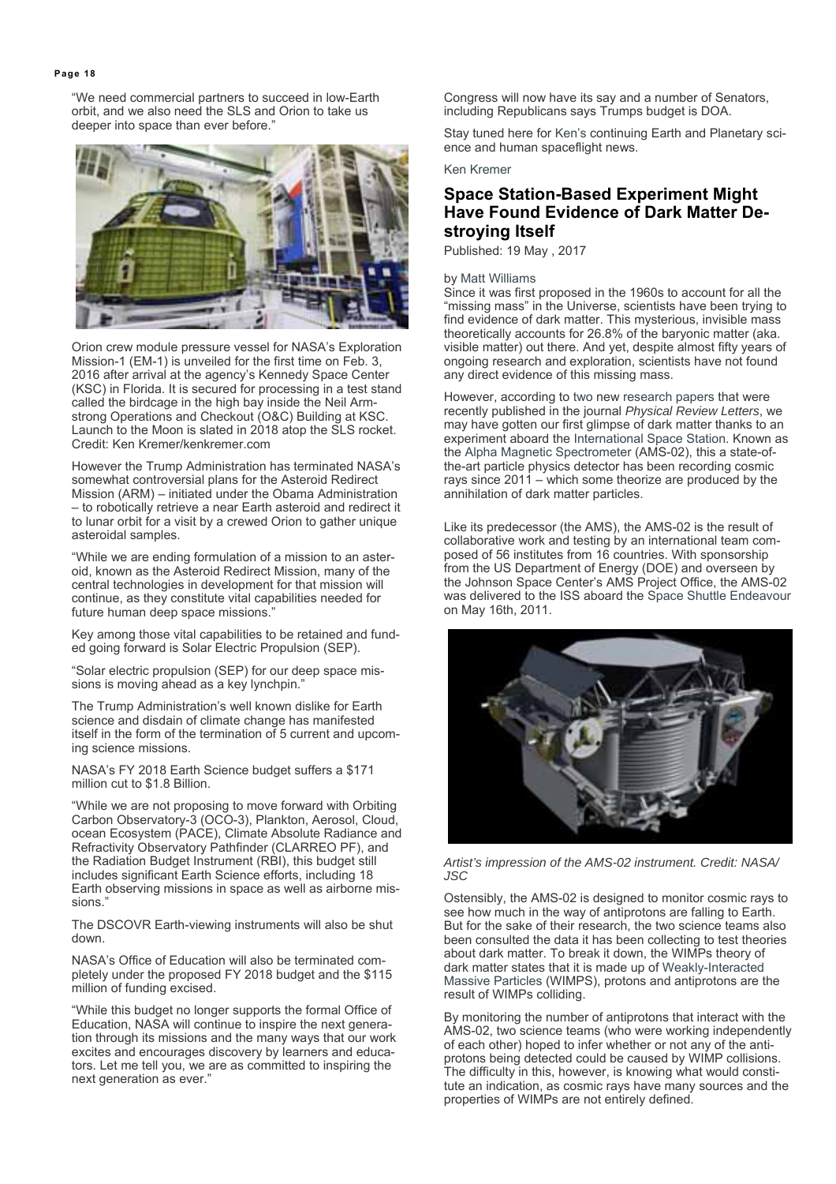"We need commercial partners to succeed in low-Earth orbit, and we also need the SLS and Orion to take us deeper into space than ever before.'



Orion crew module pressure vessel for NASA's Exploration Mission-1 (EM-1) is unveiled for the first time on Feb. 3, 2016 after arrival at the agency's Kennedy Space Center (KSC) in Florida. It is secured for processing in a test stand called the birdcage in the high bay inside the Neil Armstrong Operations and Checkout (O&C) Building at KSC. Launch to the Moon is slated in 2018 atop the SLS rocket. Credit: Ken Kremer/kenkremer.com

However the Trump Administration has terminated NASA's somewhat controversial plans for the Asteroid Redirect Mission (ARM) – initiated under the Obama Administration – to robotically retrieve a near Earth asteroid and redirect it to lunar orbit for a visit by a crewed Orion to gather unique asteroidal samples.

"While we are ending formulation of a mission to an asteroid, known as the Asteroid Redirect Mission, many of the central technologies in development for that mission will continue, as they constitute vital capabilities needed for future human deep space missions."

Key among those vital capabilities to be retained and funded going forward is Solar Electric Propulsion (SEP).

"Solar electric propulsion (SEP) for our deep space missions is moving ahead as a key lynchpin."

The Trump Administration's well known dislike for Earth science and disdain of climate change has manifested itself in the form of the termination of 5 current and upcoming science missions.

NASA's FY 2018 Earth Science budget suffers a \$171 million cut to \$1.8 Billion.

"While we are not proposing to move forward with Orbiting Carbon Observatory-3 (OCO-3), Plankton, Aerosol, Cloud, ocean Ecosystem (PACE), Climate Absolute Radiance and Refractivity Observatory Pathfinder (CLARREO PF), and the Radiation Budget Instrument (RBI), this budget still includes significant Earth Science efforts, including 18 Earth observing missions in space as well as airborne missions."

The DSCOVR Earth-viewing instruments will also be shut down.

NASA's Office of Education will also be terminated completely under the proposed FY 2018 budget and the \$115 million of funding excised.

"While this budget no longer supports the formal Office of Education, NASA will continue to inspire the next generation through its missions and the many ways that our work excites and encourages discovery by learners and educators. Let me tell you, we are as committed to inspiring the next generation as ever."

Congress will now have its say and a number of Senators, including Republicans says Trumps budget is DOA.

Stay tuned here for Ken's continuing Earth and Planetary science and human spaceflight news.

Ken Kremer

# **Space Station-Based Experiment Might Have Found Evidence of Dark Matter Destroying Itself**

Published: 19 May , 2017

#### by Matt Williams

Since it was first proposed in the 1960s to account for all the "missing mass" in the Universe, scientists have been trying to find evidence of dark matter. This mysterious, invisible mass theoretically accounts for 26.8% of the baryonic matter (aka. visible matter) out there. And yet, despite almost fifty years of ongoing research and exploration, scientists have not found any direct evidence of this missing mass.

However, according to two new research papers that were recently published in the journal *Physical Review Letters*, we may have gotten our first glimpse of dark matter thanks to an experiment aboard the International Space Station. Known as the Alpha Magnetic Spectrometer (AMS-02), this a state-ofthe-art particle physics detector has been recording cosmic rays since 2011 – which some theorize are produced by the annihilation of dark matter particles.

Like its predecessor (the AMS), the AMS-02 is the result of collaborative work and testing by an international team composed of 56 institutes from 16 countries. With sponsorship from the US Department of Energy (DOE) and overseen by the Johnson Space Center's AMS Project Office, the AMS-02 was delivered to the ISS aboard the Space Shuttle Endeavour on May 16th, 2011.



*Artist's impression of the AMS-02 instrument. Credit: NASA/ JSC*

Ostensibly, the AMS-02 is designed to monitor cosmic rays to see how much in the way of antiprotons are falling to Earth. But for the sake of their research, the two science teams also been consulted the data it has been collecting to test theories about dark matter. To break it down, the WIMPs theory of dark matter states that it is made up of Weakly-Interacted Massive Particles (WIMPS), protons and antiprotons are the result of WIMPs colliding.

By monitoring the number of antiprotons that interact with the AMS-02, two science teams (who were working independently of each other) hoped to infer whether or not any of the antiprotons being detected could be caused by WIMP collisions. The difficulty in this, however, is knowing what would constitute an indication, as cosmic rays have many sources and the properties of WIMPs are not entirely defined.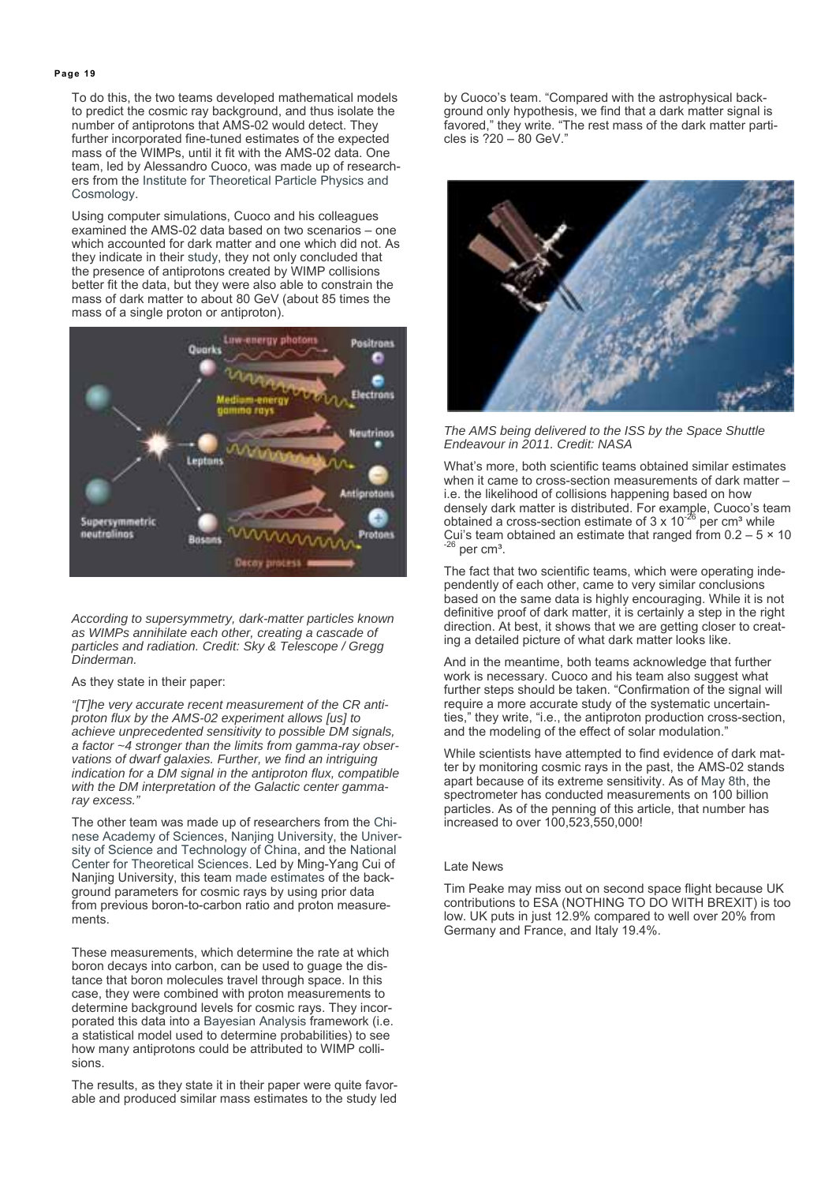To do this, the two teams developed mathematical models to predict the cosmic ray background, and thus isolate the number of antiprotons that AMS-02 would detect. They further incorporated fine-tuned estimates of the expected mass of the WIMPs, until it fit with the AMS-02 data. One team, led by Alessandro Cuoco, was made up of researchers from the Institute for Theoretical Particle Physics and Cosmology.

Using computer simulations, Cuoco and his colleagues examined the AMS-02 data based on two scenarios – one which accounted for dark matter and one which did not. As they indicate in their study, they not only concluded that the presence of antiprotons created by WIMP collisions better fit the data, but they were also able to constrain the mass of dark matter to about 80 GeV (about 85 times the mass of a single proton or antiproton).



*According to supersymmetry, dark-matter particles known as WIMPs annihilate each other, creating a cascade of particles and radiation. Credit: Sky & Telescope / Gregg Dinderman.*

#### As they state in their paper:

*"[T]he very accurate recent measurement of the CR antiproton flux by the AMS-02 experiment allows [us] to achieve unprecedented sensitivity to possible DM signals, a factor ~4 stronger than the limits from gamma-ray observations of dwarf galaxies. Further, we find an intriguing indication for a DM signal in the antiproton flux, compatible with the DM interpretation of the Galactic center gammaray excess."*

The other team was made up of researchers from the Chinese Academy of Sciences, Nanjing University, the University of Science and Technology of China, and the National Center for Theoretical Sciences. Led by Ming-Yang Cui of Nanjing University, this team made estimates of the background parameters for cosmic rays by using prior data from previous boron-to-carbon ratio and proton measurements.

These measurements, which determine the rate at which boron decays into carbon, can be used to guage the distance that boron molecules travel through space. In this case, they were combined with proton measurements to determine background levels for cosmic rays. They incorporated this data into a Bayesian Analysis framework (i.e. a statistical model used to determine probabilities) to see how many antiprotons could be attributed to WIMP collisions.

The results, as they state it in their paper were quite favorable and produced similar mass estimates to the study led by Cuoco's team. "Compared with the astrophysical background only hypothesis, we find that a dark matter signal is favored," they write. "The rest mass of the dark matter particles is ?20 – 80 GeV."



*The AMS being delivered to the ISS by the Space Shuttle Endeavour in 2011. Credit: NASA*

What's more, both scientific teams obtained similar estimates when it came to cross-section measurements of dark matter – i.e. the likelihood of collisions happening based on how densely dark matter is distributed. For example, Cuoco's team obtained a cross-section estimate of 3 x 10<sup>-26</sup> per cm<sup>3</sup> while Cui's team obtained an estimate that ranged from  $0.2 - 5 \times 10^{-26}$  per cm<sup>3</sup>.

The fact that two scientific teams, which were operating independently of each other, came to very similar conclusions based on the same data is highly encouraging. While it is not definitive proof of dark matter, it is certainly a step in the right direction. At best, it shows that we are getting closer to creating a detailed picture of what dark matter looks like.

And in the meantime, both teams acknowledge that further work is necessary. Cuoco and his team also suggest what further steps should be taken. "Confirmation of the signal will require a more accurate study of the systematic uncertainties," they write, "i.e., the antiproton production cross-section, and the modeling of the effect of solar modulation."

While scientists have attempted to find evidence of dark matter by monitoring cosmic rays in the past, the AMS-02 stands apart because of its extreme sensitivity. As of May 8th, the spectrometer has conducted measurements on 100 billion particles. As of the penning of this article, that number has increased to over 100,523,550,000!

#### Late News

Tim Peake may miss out on second space flight because UK contributions to ESA (NOTHING TO DO WITH BREXIT) is too low. UK puts in just 12.9% compared to well over 20% from Germany and France, and Italy 19.4%.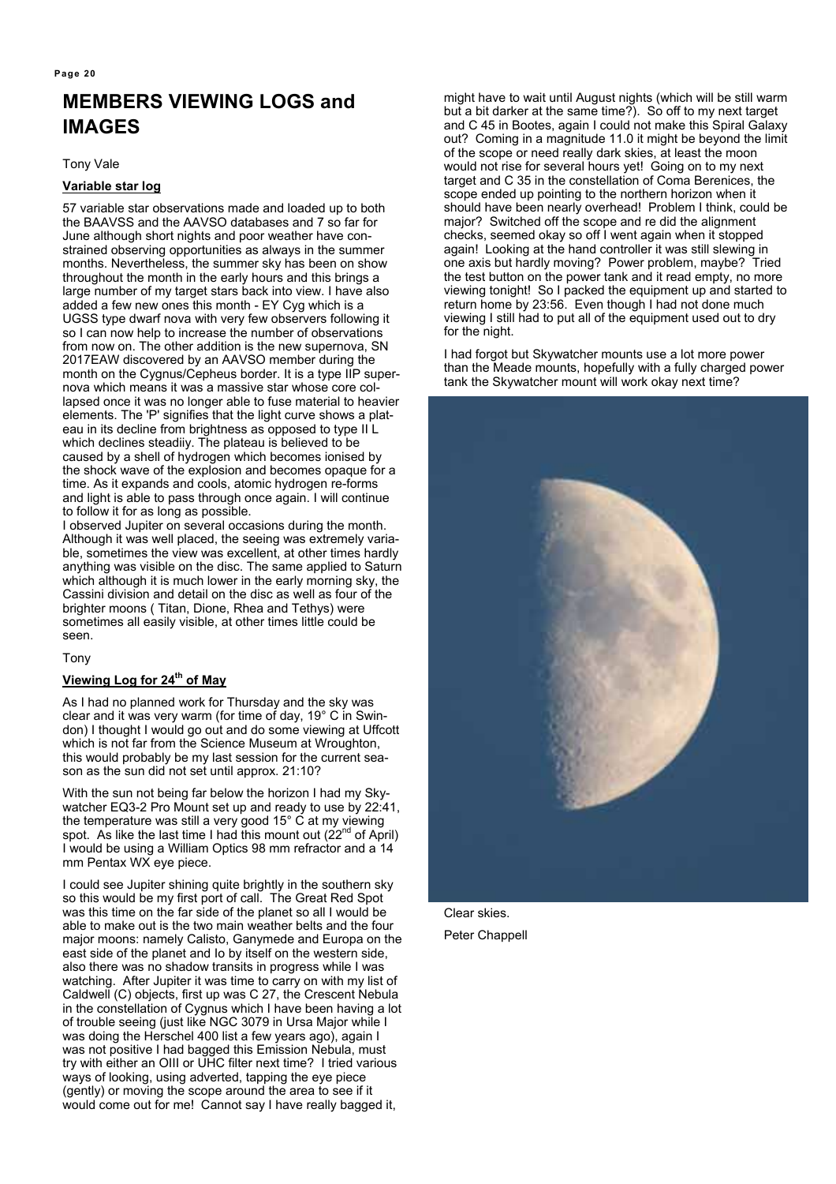# **MEMBERS VIEWING LOGS and IMAGES**

Tony Vale

#### **Variable star log**

57 variable star observations made and loaded up to both the BAAVSS and the AAVSO databases and 7 so far for June although short nights and poor weather have constrained observing opportunities as always in the summer months. Nevertheless, the summer sky has been on show throughout the month in the early hours and this brings a large number of my target stars back into view. I have also added a few new ones this month - EY Cyg which is a UGSS type dwarf nova with very few observers following it so I can now help to increase the number of observations from now on. The other addition is the new supernova, SN 2017EAW discovered by an AAVSO member during the month on the Cygnus/Cepheus border. It is a type IIP supernova which means it was a massive star whose core collapsed once it was no longer able to fuse material to heavier elements. The 'P' signifies that the light curve shows a plateau in its decline from brightness as opposed to type II L which declines steadiiy. The plateau is believed to be caused by a shell of hydrogen which becomes ionised by the shock wave of the explosion and becomes opaque for a time. As it expands and cools, atomic hydrogen re-forms and light is able to pass through once again. I will continue to follow it for as long as possible.

I observed Jupiter on several occasions during the month. Although it was well placed, the seeing was extremely variable, sometimes the view was excellent, at other times hardly anything was visible on the disc. The same applied to Saturn which although it is much lower in the early morning sky, the Cassini division and detail on the disc as well as four of the brighter moons ( Titan, Dione, Rhea and Tethys) were sometimes all easily visible, at other times little could be seen.

Tony

#### **Viewing Log for 24<sup>th</sup> of May**

As I had no planned work for Thursday and the sky was clear and it was very warm (for time of day, 19° C in Swindon) I thought I would go out and do some viewing at Uffcott which is not far from the Science Museum at Wroughton, this would probably be my last session for the current season as the sun did not set until approx. 21:10?

With the sun not being far below the horizon I had my Skywatcher EQ3-2 Pro Mount set up and ready to use by 22:41, the temperature was still a very good 15° C at my viewing spot. As like the last time I had this mount out (22<sup>nd</sup> of April) I would be using a William Optics 98 mm refractor and a 14 mm Pentax WX eye piece.

I could see Jupiter shining quite brightly in the southern sky so this would be my first port of call. The Great Red Spot was this time on the far side of the planet so all I would be able to make out is the two main weather belts and the four major moons: namely Calisto, Ganymede and Europa on the east side of the planet and Io by itself on the western side, also there was no shadow transits in progress while I was watching. After Jupiter it was time to carry on with my list of Caldwell (C) objects, first up was C 27, the Crescent Nebula in the constellation of Cygnus which I have been having a lot of trouble seeing (just like NGC 3079 in Ursa Major while I was doing the Herschel 400 list a few years ago), again I was not positive I had bagged this Emission Nebula, must try with either an OIII or UHC filter next time? I tried various ways of looking, using adverted, tapping the eye piece (gently) or moving the scope around the area to see if it would come out for me! Cannot say I have really bagged it,

might have to wait until August nights (which will be still warm but a bit darker at the same time?). So off to my next target and C 45 in Bootes, again I could not make this Spiral Galaxy out? Coming in a magnitude 11.0 it might be beyond the limit of the scope or need really dark skies, at least the moon would not rise for several hours yet! Going on to my next target and C 35 in the constellation of Coma Berenices, the scope ended up pointing to the northern horizon when it should have been nearly overhead! Problem I think, could be major? Switched off the scope and re did the alignment checks, seemed okay so off I went again when it stopped again! Looking at the hand controller it was still slewing in one axis but hardly moving? Power problem, maybe? Tried the test button on the power tank and it read empty, no more viewing tonight! So I packed the equipment up and started to return home by 23:56. Even though I had not done much viewing I still had to put all of the equipment used out to dry for the night.

I had forgot but Skywatcher mounts use a lot more power than the Meade mounts, hopefully with a fully charged power tank the Skywatcher mount will work okay next time?



Clear skies. Peter Chappell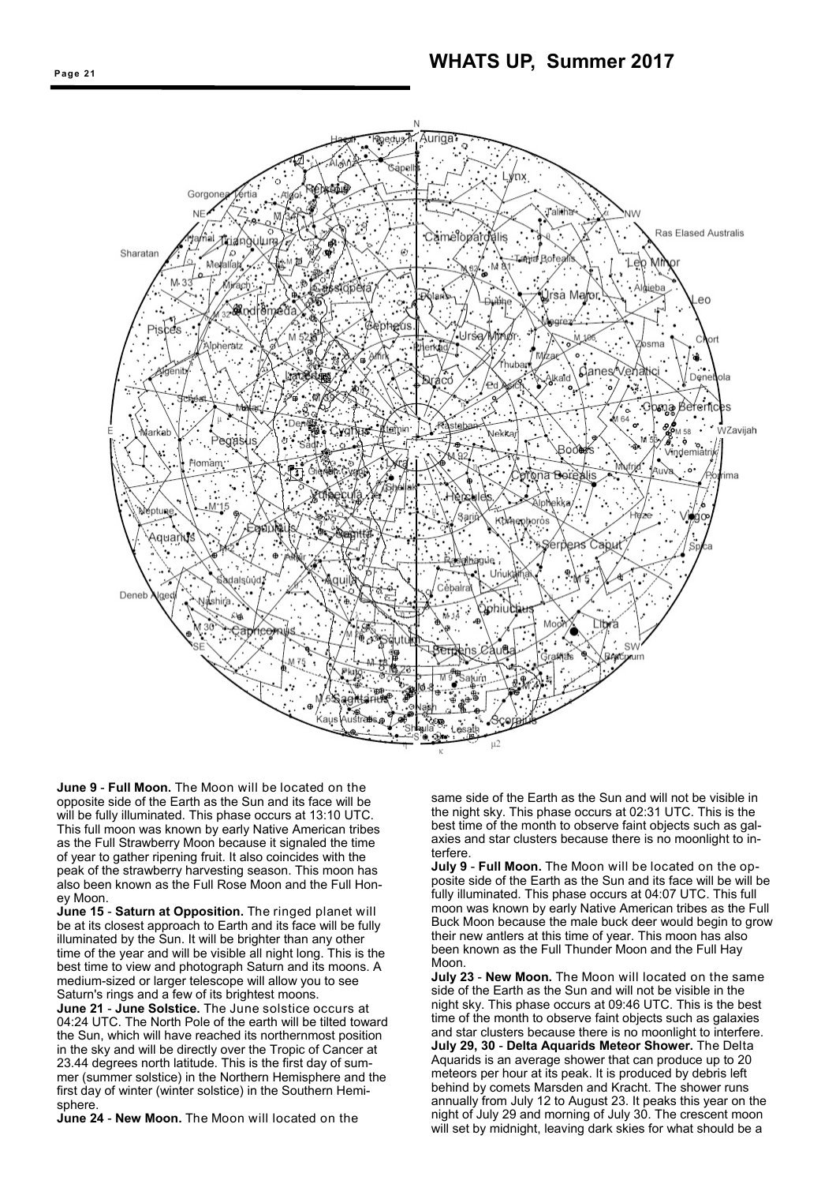

**June 9** - **Full Moon.** The Moon will be located on the opposite side of the Earth as the Sun and its face will be will be fully illuminated. This phase occurs at 13:10 UTC. This full moon was known by early Native American tribes as the Full Strawberry Moon because it signaled the time of year to gather ripening fruit. It also coincides with the peak of the strawberry harvesting season. This moon has also been known as the Full Rose Moon and the Full Honey Moon.

**June 15** - **Saturn at Opposition.** The ringed planet will be at its closest approach to Earth and its face will be fully illuminated by the Sun. It will be brighter than any other time of the year and will be visible all night long. This is the best time to view and photograph Saturn and its moons. A medium-sized or larger telescope will allow you to see Saturn's rings and a few of its brightest moons.

**June 21** - **June Solstice.** The June solstice occurs at 04:24 UTC. The North Pole of the earth will be tilted toward the Sun, which will have reached its northernmost position in the sky and will be directly over the Tropic of Cancer at 23.44 degrees north latitude. This is the first day of summer (summer solstice) in the Northern Hemisphere and the first day of winter (winter solstice) in the Southern Hemisphere.

**June 24** - **New Moon.** The Moon will located on the

same side of the Earth as the Sun and will not be visible in the night sky. This phase occurs at 02:31 UTC. This is the best time of the month to observe faint objects such as galaxies and star clusters because there is no moonlight to interfere.

**July 9** - **Full Moon.** The Moon will be located on the opposite side of the Earth as the Sun and its face will be will be fully illuminated. This phase occurs at 04:07 UTC. This full moon was known by early Native American tribes as the Full Buck Moon because the male buck deer would begin to grow their new antlers at this time of year. This moon has also been known as the Full Thunder Moon and the Full Hay Moon

**July 23** - **New Moon.** The Moon will located on the same side of the Earth as the Sun and will not be visible in the night sky. This phase occurs at 09:46 UTC. This is the best time of the month to observe faint objects such as galaxies and star clusters because there is no moonlight to interfere. **July 29, 30** - **Delta Aquarids Meteor Shower.** The Delta Aquarids is an average shower that can produce up to 20 meteors per hour at its peak. It is produced by debris left behind by comets Marsden and Kracht. The shower runs annually from July 12 to August 23. It peaks this year on the night of July 29 and morning of July 30. The crescent moon will set by midnight, leaving dark skies for what should be a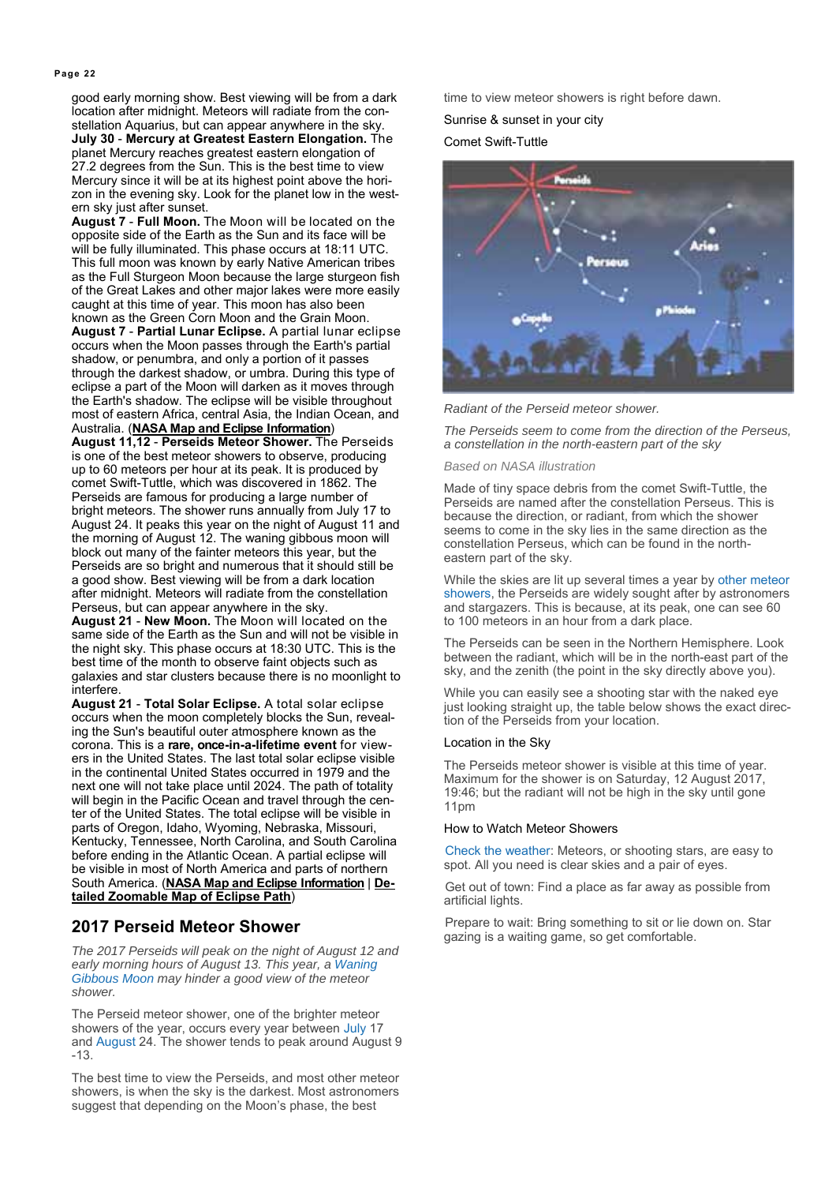good early morning show. Best viewing will be from a dark location after midnight. Meteors will radiate from the constellation Aquarius, but can appear anywhere in the sky. **July 30** - **Mercury at Greatest Eastern Elongation.** The planet Mercury reaches greatest eastern elongation of 27.2 degrees from the Sun. This is the best time to view Mercury since it will be at its highest point above the horizon in the evening sky. Look for the planet low in the western sky just after sunset.

**August 7** - **Full Moon.** The Moon will be located on the opposite side of the Earth as the Sun and its face will be will be fully illuminated. This phase occurs at 18:11 UTC. This full moon was known by early Native American tribes as the Full Sturgeon Moon because the large sturgeon fish of the Great Lakes and other major lakes were more easily caught at this time of year. This moon has also been known as the Green Corn Moon and the Grain Moon. **August 7** - **Partial Lunar Eclipse.** A partial lunar eclipse occurs when the Moon passes through the Earth's partial shadow, or penumbra, and only a portion of it passes through the darkest shadow, or umbra. During this type of eclipse a part of the Moon will darken as it moves through the Earth's shadow. The eclipse will be visible throughout most of eastern Africa, central Asia, the Indian Ocean, and Australia. (**NASA Map and Eclipse Information**)

**August 11,12** - **Perseids Meteor Shower.** The Perseids is one of the best meteor showers to observe, producing up to 60 meteors per hour at its peak. It is produced by comet Swift-Tuttle, which was discovered in 1862. The Perseids are famous for producing a large number of bright meteors. The shower runs annually from July 17 to August 24. It peaks this year on the night of August 11 and the morning of August 12. The waning gibbous moon will block out many of the fainter meteors this year, but the Perseids are so bright and numerous that it should still be a good show. Best viewing will be from a dark location after midnight. Meteors will radiate from the constellation Perseus, but can appear anywhere in the sky.

**August 21** - **New Moon.** The Moon will located on the same side of the Earth as the Sun and will not be visible in the night sky. This phase occurs at 18:30 UTC. This is the best time of the month to observe faint objects such as galaxies and star clusters because there is no moonlight to interfere.

**August 21** - **Total Solar Eclipse.** A total solar eclipse occurs when the moon completely blocks the Sun, revealing the Sun's beautiful outer atmosphere known as the corona. This is a **rare, once-in-a-lifetime event** for viewers in the United States. The last total solar eclipse visible in the continental United States occurred in 1979 and the next one will not take place until 2024. The path of totality will begin in the Pacific Ocean and travel through the center of the United States. The total eclipse will be visible in parts of Oregon, Idaho, Wyoming, Nebraska, Missouri, Kentucky, Tennessee, North Carolina, and South Carolina before ending in the Atlantic Ocean. A partial eclipse will be visible in most of North America and parts of northern South America. (**NASA Map and Eclipse Information** | **Detailed Zoomable Map of Eclipse Path**)

#### **2017 Perseid Meteor Shower**

*The 2017 Perseids will peak on the night of August 12 and early morning hours of August 13. This year, a Waning Gibbous Moon may hinder a good view of the meteor shower.* 

The Perseid meteor shower, one of the brighter meteor showers of the year, occurs every year between July 17 and August 24. The shower tends to peak around August 9 -13.

The best time to view the Perseids, and most other meteor showers, is when the sky is the darkest. Most astronomers suggest that depending on the Moon's phase, the best

time to view meteor showers is right before dawn.

Sunrise & sunset in your city

Comet Swift-Tuttle



*Radiant of the Perseid meteor shower.* 

*The Perseids seem to come from the direction of the Perseus, a constellation in the north-eastern part of the sky* 

#### *Based on NASA illustration*

Made of tiny space debris from the comet Swift-Tuttle, the Perseids are named after the constellation Perseus. This is because the direction, or radiant, from which the shower seems to come in the sky lies in the same direction as the constellation Perseus, which can be found in the northeastern part of the sky.

While the skies are lit up several times a year by other meteor showers, the Perseids are widely sought after by astronomers and stargazers. This is because, at its peak, one can see 60 to 100 meteors in an hour from a dark place.

The Perseids can be seen in the Northern Hemisphere. Look between the radiant, which will be in the north-east part of the sky, and the zenith (the point in the sky directly above you).

While you can easily see a shooting star with the naked eye just looking straight up, the table below shows the exact direction of the Perseids from your location.

#### Location in the Sky

The Perseids meteor shower is visible at this time of year. Maximum for the shower is on Saturday, 12 August 2017, 19:46; but the radiant will not be high in the sky until gone 11pm

#### How to Watch Meteor Showers

Check the weather: Meteors, or shooting stars, are easy to spot. All you need is clear skies and a pair of eyes.

Get out of town: Find a place as far away as possible from artificial lights.

Prepare to wait: Bring something to sit or lie down on. Star gazing is a waiting game, so get comfortable.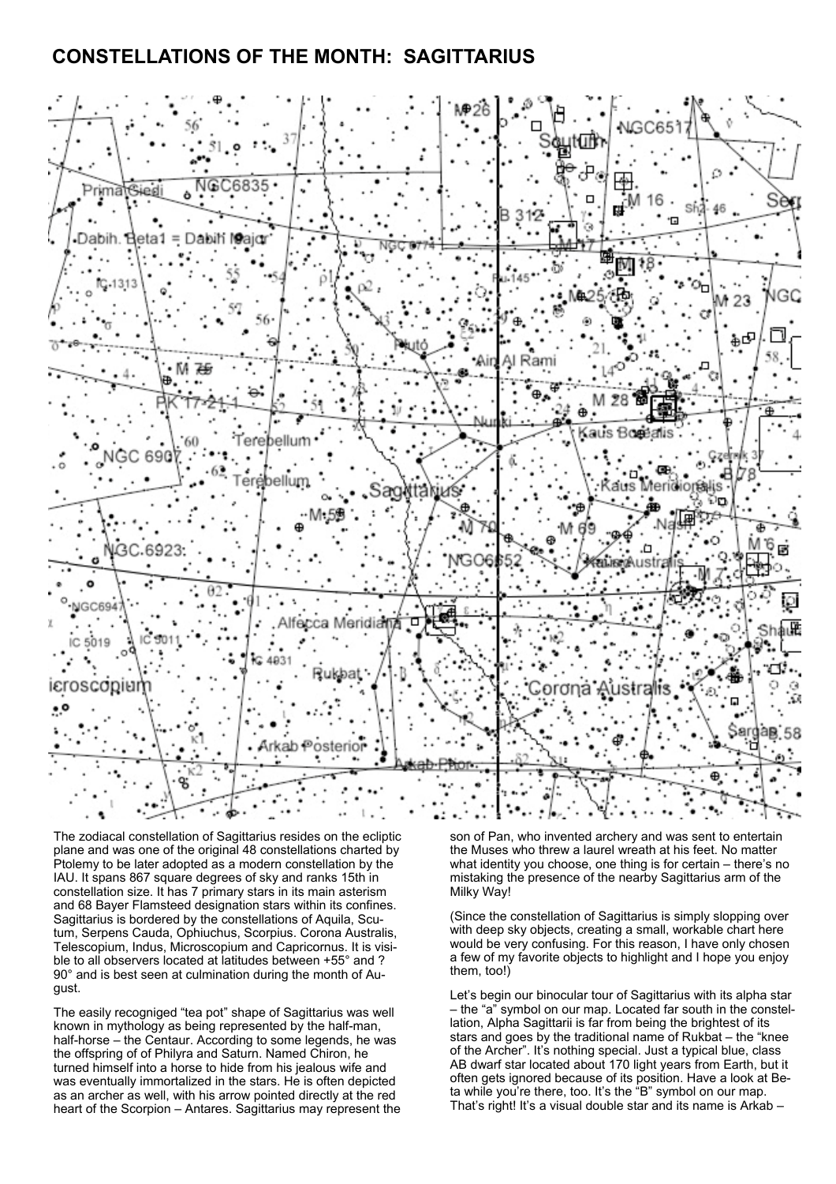# **CONSTELLATIONS OF THE MONTH: SAGITTARIUS**



The zodiacal constellation of Sagittarius resides on the ecliptic plane and was one of the original 48 constellations charted by Ptolemy to be later adopted as a modern constellation by the IAU. It spans 867 square degrees of sky and ranks 15th in constellation size. It has 7 primary stars in its main asterism and 68 Bayer Flamsteed designation stars within its confines. Sagittarius is bordered by the constellations of Aquila, Scutum, Serpens Cauda, Ophiuchus, Scorpius. Corona Australis, Telescopium, Indus, Microscopium and Capricornus. It is visible to all observers located at latitudes between +55° and ? 90° and is best seen at culmination during the month of August.

The easily recogniged "tea pot" shape of Sagittarius was well known in mythology as being represented by the half-man, half-horse – the Centaur. According to some legends, he was the offspring of of Philyra and Saturn. Named Chiron, he turned himself into a horse to hide from his jealous wife and was eventually immortalized in the stars. He is often depicted as an archer as well, with his arrow pointed directly at the red heart of the Scorpion – Antares. Sagittarius may represent the son of Pan, who invented archery and was sent to entertain the Muses who threw a laurel wreath at his feet. No matter what identity you choose, one thing is for certain – there's no mistaking the presence of the nearby Sagittarius arm of the Milky Way!

(Since the constellation of Sagittarius is simply slopping over with deep sky objects, creating a small, workable chart here would be very confusing. For this reason, I have only chosen a few of my favorite objects to highlight and I hope you enjoy them, too!)

Let's begin our binocular tour of Sagittarius with its alpha star – the "a" symbol on our map. Located far south in the constellation, Alpha Sagittarii is far from being the brightest of its stars and goes by the traditional name of Rukbat – the "knee of the Archer". It's nothing special. Just a typical blue, class AB dwarf star located about 170 light years from Earth, but it often gets ignored because of its position. Have a look at Beta while you're there, too. It's the "B" symbol on our map. That's right! It's a visual double star and its name is Arkab –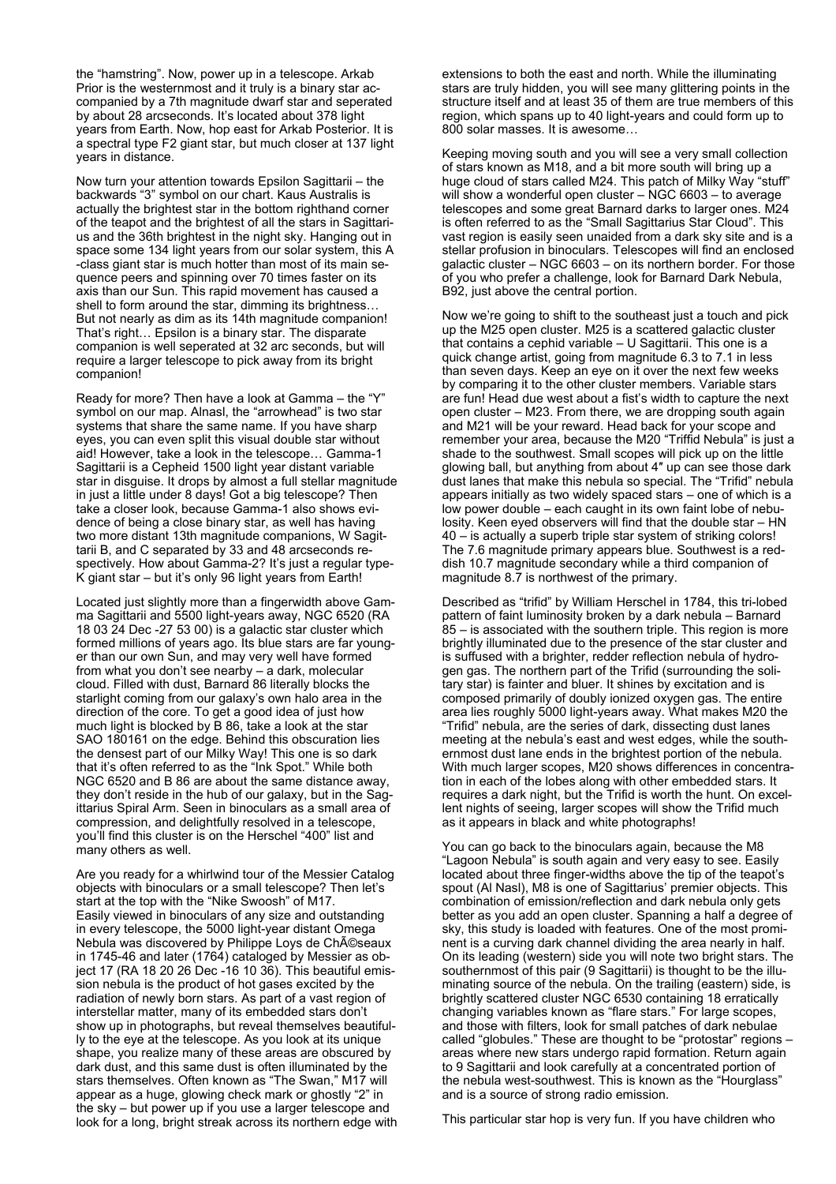the "hamstring". Now, power up in a telescope. Arkab Prior is the westernmost and it truly is a binary star accompanied by a 7th magnitude dwarf star and seperated by about 28 arcseconds. It's located about 378 light years from Earth. Now, hop east for Arkab Posterior. It is a spectral type F2 giant star, but much closer at 137 light years in distance.

Now turn your attention towards Epsilon Sagittarii – the backwards "3" symbol on our chart. Kaus Australis is actually the brightest star in the bottom righthand corner of the teapot and the brightest of all the stars in Sagittarius and the 36th brightest in the night sky. Hanging out in space some 134 light years from our solar system, this A -class giant star is much hotter than most of its main sequence peers and spinning over 70 times faster on its axis than our Sun. This rapid movement has caused a shell to form around the star, dimming its brightness… But not nearly as dim as its 14th magnitude companion! That's right… Epsilon is a binary star. The disparate companion is well seperated at 32 arc seconds, but will require a larger telescope to pick away from its bright companion!

Ready for more? Then have a look at Gamma – the "Y" symbol on our map. Alnasl, the "arrowhead" is two star systems that share the same name. If you have sharp eyes, you can even split this visual double star without aid! However, take a look in the telescope… Gamma-1 Sagittarii is a Cepheid 1500 light year distant variable star in disguise. It drops by almost a full stellar magnitude in just a little under 8 days! Got a big telescope? Then take a closer look, because Gamma-1 also shows evidence of being a close binary star, as well has having two more distant 13th magnitude companions, W Sagittarii B, and C separated by 33 and 48 arcseconds respectively. How about Gamma-2? It's just a regular type-K giant star – but it's only 96 light years from Earth!

Located just slightly more than a fingerwidth above Gamma Sagittarii and 5500 light-years away, NGC 6520 (RA 18 03 24 Dec -27 53 00) is a galactic star cluster which formed millions of years ago. Its blue stars are far younger than our own Sun, and may very well have formed from what you don't see nearby – a dark, molecular cloud. Filled with dust, Barnard 86 literally blocks the starlight coming from our galaxy's own halo area in the direction of the core. To get a good idea of just how much light is blocked by B 86, take a look at the star SAO 180161 on the edge. Behind this obscuration lies the densest part of our Milky Way! This one is so dark that it's often referred to as the "Ink Spot." While both NGC 6520 and B 86 are about the same distance away, they don't reside in the hub of our galaxy, but in the Sagittarius Spiral Arm. Seen in binoculars as a small area of compression, and delightfully resolved in a telescope, you'll find this cluster is on the Herschel "400" list and many others as well.

Are you ready for a whirlwind tour of the Messier Catalog objects with binoculars or a small telescope? Then let's start at the top with the "Nike Swoosh" of M17. Easily viewed in binoculars of any size and outstanding in every telescope, the 5000 light-year distant Omega Nebula was discovered by Philippe Loys de Ch©seaux in 1745-46 and later (1764) cataloged by Messier as object 17 (RA 18 20 26 Dec -16 10 36). This beautiful emission nebula is the product of hot gases excited by the radiation of newly born stars. As part of a vast region of interstellar matter, many of its embedded stars don't show up in photographs, but reveal themselves beautifully to the eye at the telescope. As you look at its unique shape, you realize many of these areas are obscured by dark dust, and this same dust is often illuminated by the stars themselves. Often known as "The Swan," M17 will appear as a huge, glowing check mark or ghostly "2" in the sky – but power up if you use a larger telescope and look for a long, bright streak across its northern edge with

extensions to both the east and north. While the illuminating stars are truly hidden, you will see many glittering points in the structure itself and at least 35 of them are true members of this region, which spans up to 40 light-years and could form up to 800 solar masses. It is awesome…

Keeping moving south and you will see a very small collection of stars known as M18, and a bit more south will bring up a huge cloud of stars called M24. This patch of Milky Way "stuff" will show a wonderful open cluster – NGC 6603 – to average telescopes and some great Barnard darks to larger ones. M24 is often referred to as the "Small Sagittarius Star Cloud". This vast region is easily seen unaided from a dark sky site and is a stellar profusion in binoculars. Telescopes will find an enclosed galactic cluster – NGC 6603 – on its northern border. For those of you who prefer a challenge, look for Barnard Dark Nebula, B92, just above the central portion.

Now we're going to shift to the southeast just a touch and pick up the M25 open cluster. M25 is a scattered galactic cluster that contains a cephid variable – U Sagittarii. This one is a quick change artist, going from magnitude 6.3 to 7.1 in less than seven days. Keep an eye on it over the next few weeks by comparing it to the other cluster members. Variable stars are fun! Head due west about a fist's width to capture the next open cluster – M23. From there, we are dropping south again and M21 will be your reward. Head back for your scope and remember your area, because the M20 "Triffid Nebula" is just a shade to the southwest. Small scopes will pick up on the little glowing ball, but anything from about 4″ up can see those dark dust lanes that make this nebula so special. The "Trifid" nebula appears initially as two widely spaced stars – one of which is a low power double – each caught in its own faint lobe of nebulosity. Keen eyed observers will find that the double star – HN 40 – is actually a superb triple star system of striking colors! The 7.6 magnitude primary appears blue. Southwest is a reddish 10.7 magnitude secondary while a third companion of magnitude 8.7 is northwest of the primary.

Described as "trifid" by William Herschel in 1784, this tri-lobed pattern of faint luminosity broken by a dark nebula – Barnard 85 – is associated with the southern triple. This region is more brightly illuminated due to the presence of the star cluster and is suffused with a brighter, redder reflection nebula of hydrogen gas. The northern part of the Trifid (surrounding the solitary star) is fainter and bluer. It shines by excitation and is composed primarily of doubly ionized oxygen gas. The entire area lies roughly 5000 light-years away. What makes M20 the "Trifid" nebula, are the series of dark, dissecting dust lanes meeting at the nebula's east and west edges, while the southernmost dust lane ends in the brightest portion of the nebula. With much larger scopes, M20 shows differences in concentration in each of the lobes along with other embedded stars. It requires a dark night, but the Trifid is worth the hunt. On excellent nights of seeing, larger scopes will show the Trifid much as it appears in black and white photographs!

You can go back to the binoculars again, because the M8 "Lagoon Nebula" is south again and very easy to see. Easily located about three finger-widths above the tip of the teapot's spout (Al Nasl), M8 is one of Sagittarius' premier objects. This combination of emission/reflection and dark nebula only gets better as you add an open cluster. Spanning a half a degree of sky, this study is loaded with features. One of the most prominent is a curving dark channel dividing the area nearly in half. On its leading (western) side you will note two bright stars. The southernmost of this pair (9 Sagittarii) is thought to be the illuminating source of the nebula. On the trailing (eastern) side, is brightly scattered cluster NGC 6530 containing 18 erratically changing variables known as "flare stars." For large scopes, and those with filters, look for small patches of dark nebulae called "globules." These are thought to be "protostar" regions – areas where new stars undergo rapid formation. Return again to 9 Sagittarii and look carefully at a concentrated portion of the nebula west-southwest. This is known as the "Hourglass" and is a source of strong radio emission.

This particular star hop is very fun. If you have children who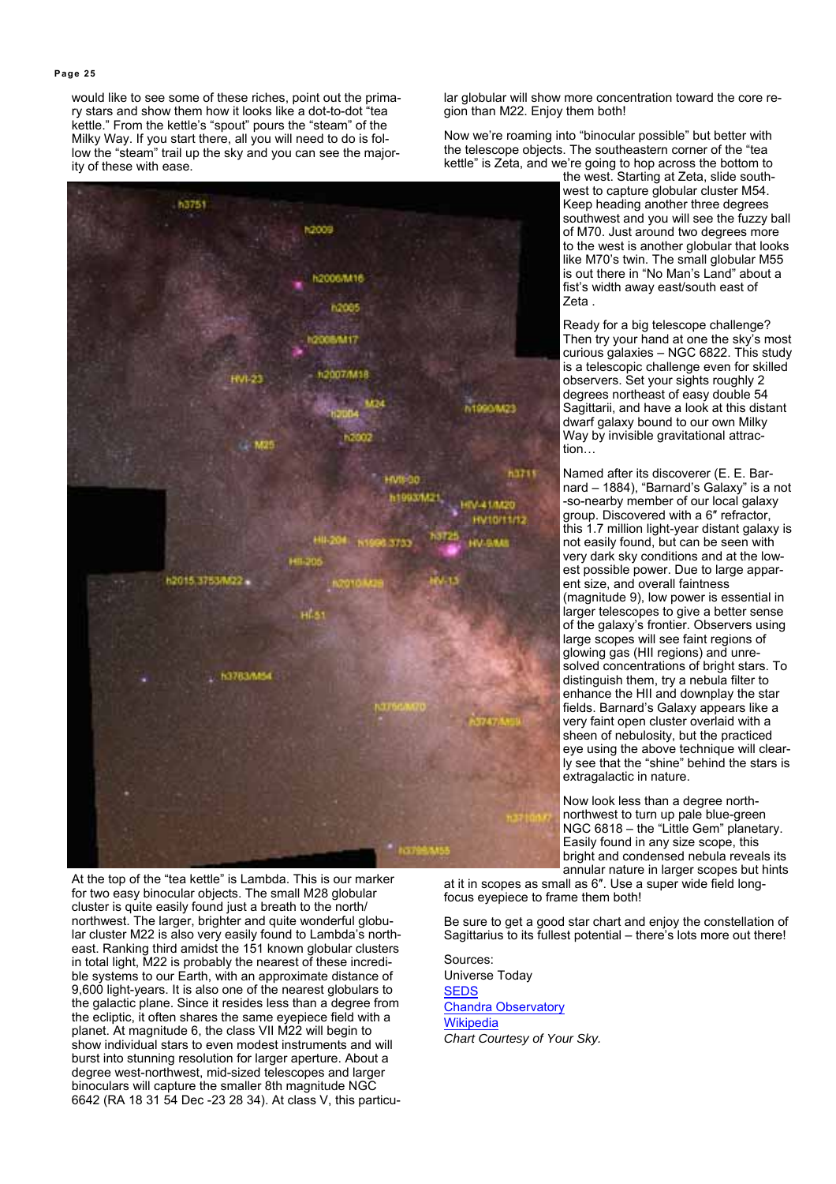would like to see some of these riches, point out the primary stars and show them how it looks like a dot-to-dot "tea kettle." From the kettle's "spout" pours the "steam" of the Milky Way. If you start there, all you will need to do is follow the "steam" trail up the sky and you can see the majority of these with ease.

h3751 **h2005** h2006/M16 n2des 5/6/117 12007/M18 **FVI-23** h1990/M23 M25 63211 **HMS-30** h1983/M21 V-41/M20 **INTO/TT/TZ LALAS** h2015.3753A022 **53783/M54** 

At the top of the "tea kettle" is Lambda. This is our marker for two easy binocular objects. The small M28 globular cluster is quite easily found just a breath to the north/ northwest. The larger, brighter and quite wonderful globular cluster M22 is also very easily found to Lambda's northeast. Ranking third amidst the 151 known globular clusters in total light, M22 is probably the nearest of these incredible systems to our Earth, with an approximate distance of 9,600 light-years. It is also one of the nearest globulars to the galactic plane. Since it resides less than a degree from the ecliptic, it often shares the same eyepiece field with a planet. At magnitude 6, the class VII M22 will begin to show individual stars to even modest instruments and will burst into stunning resolution for larger aperture. About a degree west-northwest, mid-sized telescopes and larger binoculars will capture the smaller 8th magnitude NGC 6642 (RA 18 31 54 Dec -23 28 34). At class V, this particular globular will show more concentration toward the core region than M22. Enjoy them both!

Now we're roaming into "binocular possible" but better with the telescope objects. The southeastern corner of the "tea kettle" is Zeta, and we're going to hop across the bottom to

the west. Starting at Zeta, slide southwest to capture globular cluster M54. Keep heading another three degrees southwest and you will see the fuzzy ball of M70. Just around two degrees more to the west is another globular that looks like M70's twin. The small globular M55 is out there in "No Man's Land" about a fist's width away east/south east of Zeta .

Ready for a big telescope challenge? Then try your hand at one the sky's most curious galaxies – NGC 6822. This study is a telescopic challenge even for skilled observers. Set your sights roughly 2 degrees northeast of easy double 54 Sagittarii, and have a look at this distant dwarf galaxy bound to our own Milky Way by invisible gravitational attraction…

Named after its discoverer (E. E. Barnard – 1884), "Barnard's Galaxy" is a not -so-nearby member of our local galaxy group. Discovered with a 6″ refractor, this 1.7 million light-year distant galaxy is not easily found, but can be seen with very dark sky conditions and at the lowest possible power. Due to large apparent size, and overall faintness (magnitude 9), low power is essential in larger telescopes to give a better sense of the galaxy's frontier. Observers using large scopes will see faint regions of glowing gas (HII regions) and unresolved concentrations of bright stars. To distinguish them, try a nebula filter to enhance the HII and downplay the star fields. Barnard's Galaxy appears like a very faint open cluster overlaid with a sheen of nebulosity, but the practiced eye using the above technique will clearly see that the "shine" behind the stars is extragalactic in nature.

Now look less than a degree northnorthwest to turn up pale blue-green NGC 6818 – the "Little Gem" planetary. Easily found in any size scope, this bright and condensed nebula reveals its annular nature in larger scopes but hints

at it in scopes as small as 6″. Use a super wide field longfocus eyepiece to frame them both!

Be sure to get a good star chart and enjoy the constellation of Sagittarius to its fullest potential – there's lots more out there!

Sources: Universe Today **SEDS Chandra Observatory Wikipedia** *Chart Courtesy of Your Sky.*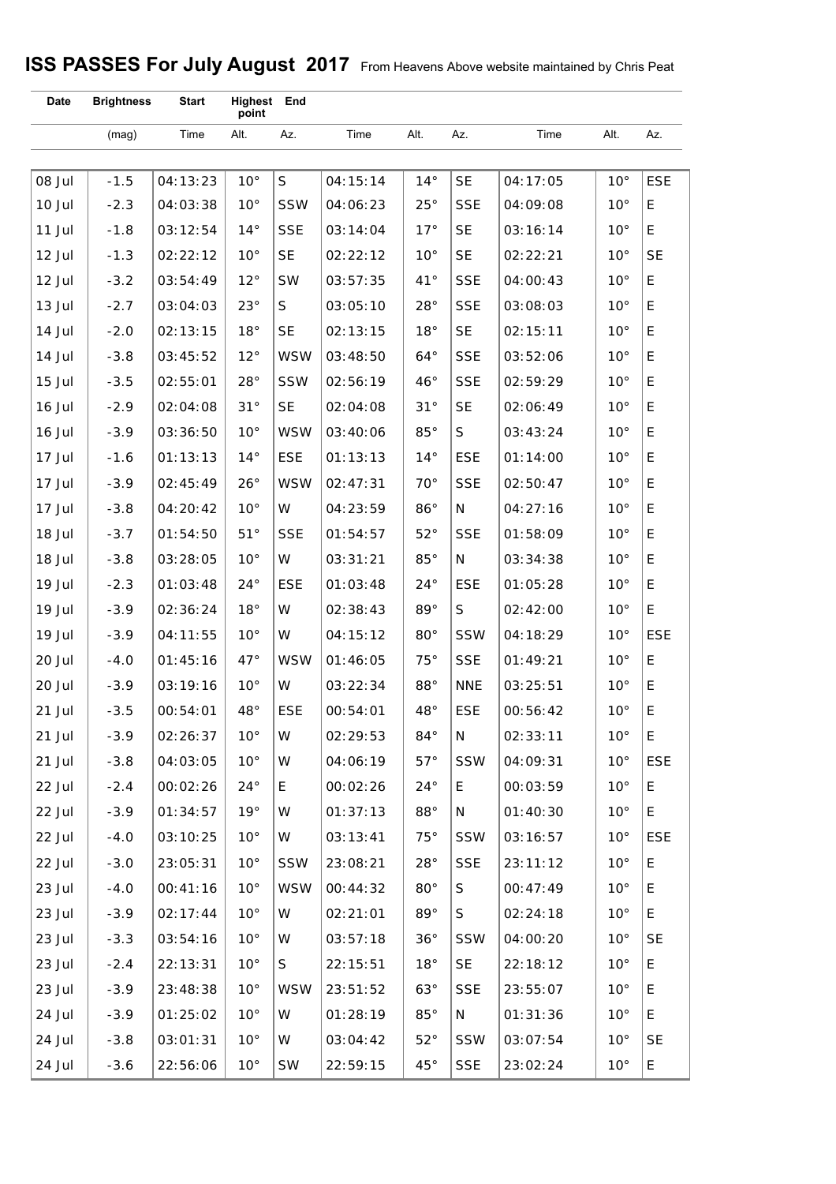# **ISS PASSES For July August 2017** From Heavens Above website maintained by Chris Peat

| <b>Date</b> | <b>Brightness</b> | <b>Start</b> | Highest End<br>point |              |          |               |            |          |              |            |
|-------------|-------------------|--------------|----------------------|--------------|----------|---------------|------------|----------|--------------|------------|
|             | (mag)             | Time         | Alt.                 | Az.          | Time     | Alt.          | Az.        | Time     | Alt.         | Az.        |
|             |                   |              |                      |              |          |               |            |          |              |            |
| 08 Jul      | $-1.5$            | 04:13:23     | $10^{\circ}$         | $\mathsf{S}$ | 04:15:14 | $14^{\circ}$  | <b>SE</b>  | 04:17:05 | $10^{\circ}$ | <b>ESE</b> |
| 10 Jul      | $-2.3$            | 04:03:38     | $10^{\circ}$         | SSW          | 04:06:23 | $25^{\circ}$  | <b>SSE</b> | 04:09:08 | $10^{\circ}$ | E          |
| 11 Jul      | $-1.8$            | 03:12:54     | $14^{\circ}$         | <b>SSE</b>   | 03:14:04 | 17°           | <b>SE</b>  | 03:16:14 | $10^{\circ}$ | E          |
| 12 Jul      | $-1.3$            | 02:22:12     | $10^{\circ}$         | <b>SE</b>    | 02:22:12 | $10^{\circ}$  | <b>SE</b>  | 02:22:21 | $10^{\circ}$ | <b>SE</b>  |
| 12 Jul      | $-3.2$            | 03:54:49     | $12^{\circ}$         | SW           | 03:57:35 | $41^{\circ}$  | <b>SSE</b> | 04:00:43 | $10^{\circ}$ | E          |
| 13 Jul      | $-2.7$            | 03:04:03     | $23^{\circ}$         | S            | 03:05:10 | $28^{\circ}$  | <b>SSE</b> | 03:08:03 | $10^{\circ}$ | E          |
| 14 Jul      | $-2.0$            | 02:13:15     | 18°                  | <b>SE</b>    | 02:13:15 | 18°           | <b>SE</b>  | 02:15:11 | $10^{\circ}$ | E          |
| 14 Jul      | $-3.8$            | 03:45:52     | $12^{\circ}$         | <b>WSW</b>   | 03:48:50 | $64^{\circ}$  | <b>SSE</b> | 03:52:06 | $10^{\circ}$ | E          |
| 15 Jul      | $-3.5$            | 02:55:01     | $28^{\circ}$         | <b>SSW</b>   | 02:56:19 | $46^{\circ}$  | <b>SSE</b> | 02:59:29 | $10^{\circ}$ | E          |
| 16 Jul      | $-2.9$            | 02:04:08     | 31°                  | <b>SE</b>    | 02:04:08 | 31°           | <b>SE</b>  | 02:06:49 | $10^{\circ}$ | E          |
| 16 Jul      | $-3.9$            | 03:36:50     | $10^{\circ}$         | <b>WSW</b>   | 03:40:06 | $85^{\circ}$  | S          | 03:43:24 | $10^{\circ}$ | E          |
| 17 Jul      | $-1.6$            | 01:13:13     | $14^{\circ}$         | <b>ESE</b>   | 01:13:13 | $14^{\circ}$  | <b>ESE</b> | 01:14:00 | $10^{\circ}$ | E          |
| 17 Jul      | $-3.9$            | 02:45:49     | $26^{\circ}$         | <b>WSW</b>   | 02:47:31 | $70^{\circ}$  | <b>SSE</b> | 02:50:47 | $10^{\circ}$ | E          |
| 17 Jul      | $-3.8$            | 04:20:42     | $10^{\circ}$         | W            | 04:23:59 | $86^{\circ}$  | N          | 04:27:16 | $10^{\circ}$ | E          |
| 18 Jul      | $-3.7$            | 01:54:50     | 51°                  | <b>SSE</b>   | 01:54:57 | $52^{\circ}$  | <b>SSE</b> | 01:58:09 | $10^{\circ}$ | E          |
| 18 Jul      | $-3.8$            | 03:28:05     | $10^{\circ}$         | W            | 03:31:21 | $85^{\circ}$  | N          | 03:34:38 | $10^{\circ}$ | E          |
| 19 Jul      | $-2.3$            | 01:03:48     | $24^{\circ}$         | <b>ESE</b>   | 01:03:48 | $24^{\circ}$  | <b>ESE</b> | 01:05:28 | $10^{\circ}$ | E          |
| 19 Jul      | $-3.9$            | 02:36:24     | 18°                  | W            | 02:38:43 | $89^{\circ}$  | S          | 02:42:00 | $10^{\circ}$ | E          |
| 19 Jul      | $-3.9$            | 04:11:55     | $10^{\circ}$         | W            | 04:15:12 | $80^{\circ}$  | <b>SSW</b> | 04:18:29 | $10^{\circ}$ | <b>ESE</b> |
| 20 Jul      | $-4.0$            | 01:45:16     | $47^{\circ}$         | <b>WSW</b>   | 01:46:05 | 75°           | <b>SSE</b> | 01:49:21 | $10^{\circ}$ | E          |
| 20 Jul      | $-3.9$            | 03:19:16     | $10^{\circ}$         | W            | 03:22:34 | $88^{\circ}$  | <b>NNE</b> | 03:25:51 | $10^{\circ}$ | E          |
| 21 Jul      | $-3.5$            | 00:54:01     | 48°                  | <b>ESE</b>   | 00:54:01 | $48^{\circ}$  | <b>ESE</b> | 00:56:42 | $10^{\circ}$ | E          |
| 21 Jul      | $-3.9$            | 02:26:37     | $10^{\circ}$         | W            | 02:29:53 | $84^{\circ}$  | N          | 02:33:11 | $10^{\circ}$ | E          |
| 21 Jul      | $-3.8$            | 04:03:05     | $10^{\circ}$         | W            | 04:06:19 | $57^\circ$    | <b>SSW</b> | 04:09:31 | $10^{\circ}$ | <b>ESE</b> |
| 22 Jul      | $-2.4$            | 00:02:26     | $24^{\circ}$         | E            | 00:02:26 | $24^{\circ}$  | E.         | 00:03:59 | $10^{\circ}$ | E          |
| 22 Jul      | $-3.9$            | 01:34:57     | 19°                  | W            | 01:37:13 | $88^{\circ}$  | N          | 01:40:30 | $10^{\circ}$ | E          |
| 22 Jul      | $-4.0$            | 03:10:25     | $10^{\circ}$         | W            | 03:13:41 | $75^{\circ}$  | <b>SSW</b> | 03:16:57 | $10^{\circ}$ | <b>ESE</b> |
| 22 Jul      | $-3.0$            | 23:05:31     | $10^{\circ}$         | SSW          | 23:08:21 | $28^{\circ}$  | <b>SSE</b> | 23:11:12 | $10^{\circ}$ | E          |
| 23 Jul      | $-4.0$            | 00:41:16     | $10^{\circ}$         | <b>WSW</b>   | 00:44:32 | $80^{\circ}$  | S          | 00:47:49 | $10^{\circ}$ | Е          |
| 23 Jul      | $-3.9$            | 02:17:44     | $10^{\circ}$         | W            | 02:21:01 | 89 $^{\circ}$ | S          | 02:24:18 | $10^{\circ}$ | E          |
| 23 Jul      | $-3.3$            | 03:54:16     | $10^{\circ}$         | W            | 03:57:18 | 36°           | <b>SSW</b> | 04:00:20 | $10^{\circ}$ | <b>SE</b>  |
| 23 Jul      | $-2.4$            | 22:13:31     | $10^{\circ}$         | S            | 22:15:51 | 18°           | <b>SE</b>  | 22:18:12 | $10^{\circ}$ | E          |
| 23 Jul      | $-3.9$            | 23:48:38     | $10^{\circ}$         | <b>WSW</b>   | 23:51:52 | $63^\circ$    | <b>SSE</b> | 23:55:07 | $10^{\circ}$ | Е          |
| 24 Jul      | $-3.9$            | 01:25:02     | $10^{\circ}$         | W            | 01:28:19 | $85^{\circ}$  | N          | 01:31:36 | $10^{\circ}$ | E          |
| 24 Jul      | $-3.8$            | 03:01:31     | $10^{\circ}$         | W            | 03:04:42 | $52^{\circ}$  | <b>SSW</b> | 03:07:54 | $10^{\circ}$ | <b>SE</b>  |
| 24 Jul      | $-3.6$            | 22:56:06     | $10^{\circ}$         | SW           | 22:59:15 | $45^{\circ}$  | <b>SSE</b> | 23:02:24 | $10^{\circ}$ | E          |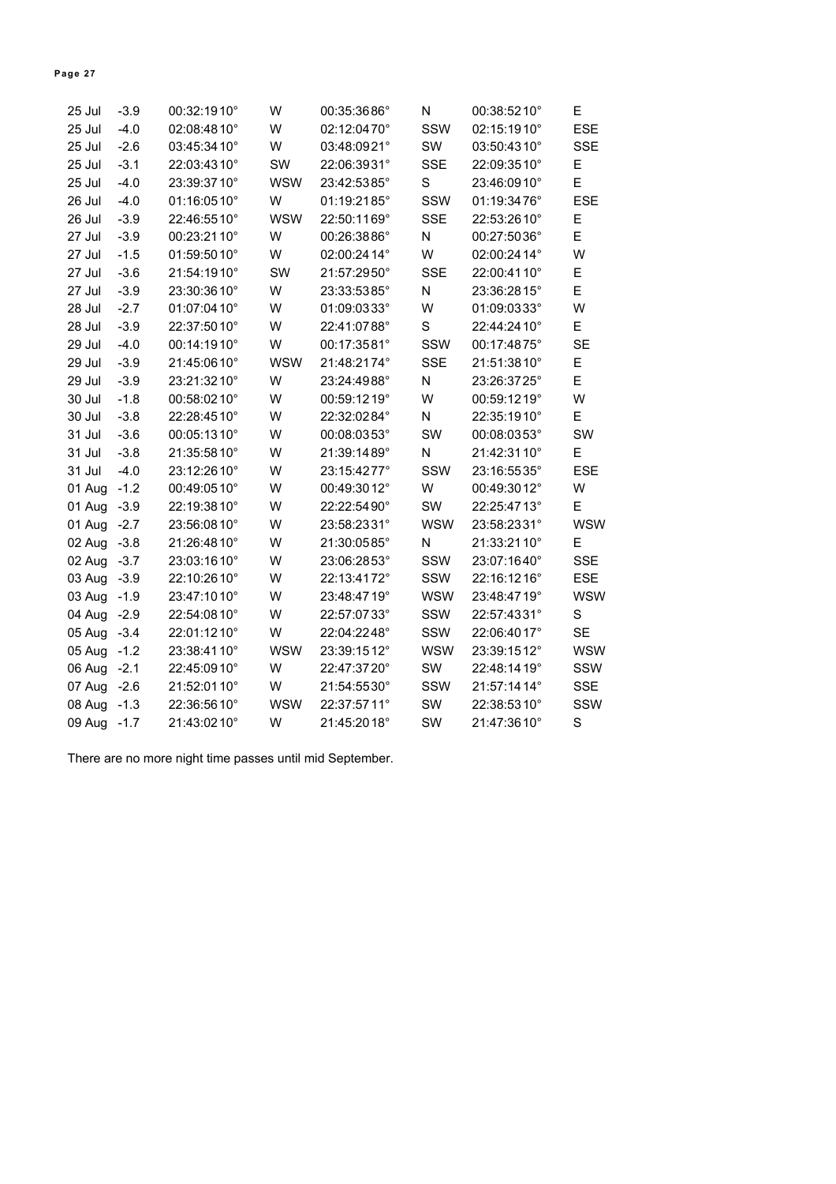| 25 Jul       | $-3.9$ | 00:32:1910°  | W          | 00:35:3686°  | N          | 00:38:5210°  | Ε          |
|--------------|--------|--------------|------------|--------------|------------|--------------|------------|
| 25 Jul       | $-4.0$ | 02:08:4810°  | W          | 02:12:0470°  | SSW        | 02:15:1910°  | <b>ESE</b> |
| 25 Jul       | $-2.6$ | 03:45:3410°  | W          | 03:48:0921°  | SW         | 03:50:4310°  | <b>SSE</b> |
| 25 Jul       | $-3.1$ | 22:03:4310°  | SW         | 22:06:3931°  | <b>SSE</b> | 22:09:3510°  | E          |
| 25 Jul       | $-4.0$ | 23:39:3710°  | <b>WSW</b> | 23:42:5385°  | S          | 23:46:0910°  | E          |
| 26 Jul       | $-4.0$ | 01:16:0510°  | W          | 01:19:2185°  | SSW        | 01:19:3476°  | <b>ESE</b> |
| 26 Jul       | $-3.9$ | 22:46:5510°  | <b>WSW</b> | 22:50:1169°  | <b>SSE</b> | 22:53:2610°  | E          |
| 27 Jul       | $-3.9$ | 00:23:2110°  | W          | 00:26:3886°  | N          | 00:27:5036°  | E          |
| 27 Jul       | $-1.5$ | 01:59:5010°  | W          | 02:00:24 14° | W          | 02:00:24 14° | W          |
| 27 Jul       | $-3.6$ | 21:54:1910°  | SW         | 21:57:2950°  | <b>SSE</b> | 22:00:4110°  | Е          |
| 27 Jul       | $-3.9$ | 23:30:3610°  | W          | 23:33:5385°  | N          | 23:36:2815°  | E          |
| 28 Jul       | $-2.7$ | 01:07:04 10° | W          | 01:09:0333°  | W          | 01:09:0333°  | W          |
| 28 Jul       | $-3.9$ | 22:37:50 10° | W          | 22:41:0788°  | S          | 22:44:2410°  | E          |
| 29 Jul       | $-4.0$ | 00:14:1910°  | W          | 00:17:3581°  | SSW        | 00:17:4875°  | <b>SE</b>  |
| 29 Jul       | $-3.9$ | 21:45:0610°  | <b>WSW</b> | 21:48:2174°  | <b>SSE</b> | 21:51:3810°  | E          |
| 29 Jul       | $-3.9$ | 23:21:3210°  | W          | 23:24:4988°  | N          | 23:26:3725°  | E          |
| 30 Jul       | $-1.8$ | 00:58:0210°  | W          | 00:59:1219°  | W          | 00:59:1219°  | W          |
| 30 Jul       | $-3.8$ | 22:28:4510°  | W          | 22:32:0284°  | N          | 22:35:1910°  | E          |
| 31 Jul       | $-3.6$ | 00:05:1310°  | W          | 00:08:0353°  | SW         | 00:08:0353°  | SW         |
| 31 Jul       | $-3.8$ | 21:35:5810°  | W          | 21:39:1489°  | N          | 21:42:3110°  | E          |
| 31 Jul       | $-4.0$ | 23:12:2610°  | W          | 23:15:4277°  | SSW        | 23:16:5535°  | <b>ESE</b> |
| 01 Aug       | $-1.2$ | 00:49:0510°  | W          | 00:49:3012°  | W          | 00:49:3012°  | W          |
| 01 Aug       | $-3.9$ | 22:19:3810°  | W          | 22:22:5490°  | SW         | 22:25:4713°  | E.         |
| 01 Aug       | $-2.7$ | 23:56:0810°  | W          | 23:58:2331°  | <b>WSW</b> | 23:58:2331°  | <b>WSW</b> |
| 02 Aug       | $-3.8$ | 21:26:4810°  | W          | 21:30:0585°  | N          | 21:33:2110°  | Ε          |
| 02 Aug -3.7  |        | 23:03:1610°  | W          | 23:06:2853°  | SSW        | 23:07:1640°  | <b>SSE</b> |
| 03 Aug - 3.9 |        | 22:10:2610°  | W          | 22:13:4172°  | SSW        | 22:16:1216°  | <b>ESE</b> |
| 03 Aug       | $-1.9$ | 23:47:1010°  | W          | 23:48:4719°  | <b>WSW</b> | 23:48:4719°  | <b>WSW</b> |
| 04 Aug       | $-2.9$ | 22:54:08 10° | W          | 22:57:0733°  | SSW        | 22:57:4331°  | S          |
| 05 Aug       | $-3.4$ | 22:01:1210°  | W          | 22:04:2248°  | SSW        | 22:06:4017°  | <b>SE</b>  |
| 05 Aug       | $-1.2$ | 23:38:4110°  | <b>WSW</b> | 23:39:1512°  | <b>WSW</b> | 23:39:1512°  | <b>WSW</b> |
| 06 Aug       | $-2.1$ | 22:45:0910°  | W          | 22:47:3720°  | SW         | 22:48:1419°  | SSW        |
| 07 Aug       | $-2.6$ | 21:52:0110°  | W          | 21:54:5530°  | SSW        | 21:57:1414°  | <b>SSE</b> |
| 08 Aug       | $-1.3$ | 22:36:5610°  | <b>WSW</b> | 22:37:5711°  | SW         | 22:38:5310°  | SSW        |
| 09 Aug       | $-1.7$ | 21:43:0210°  | W          | 21:45:2018°  | SW         | 21:47:3610°  | S          |

There are no more night time passes until mid September.

#### **Page 27**